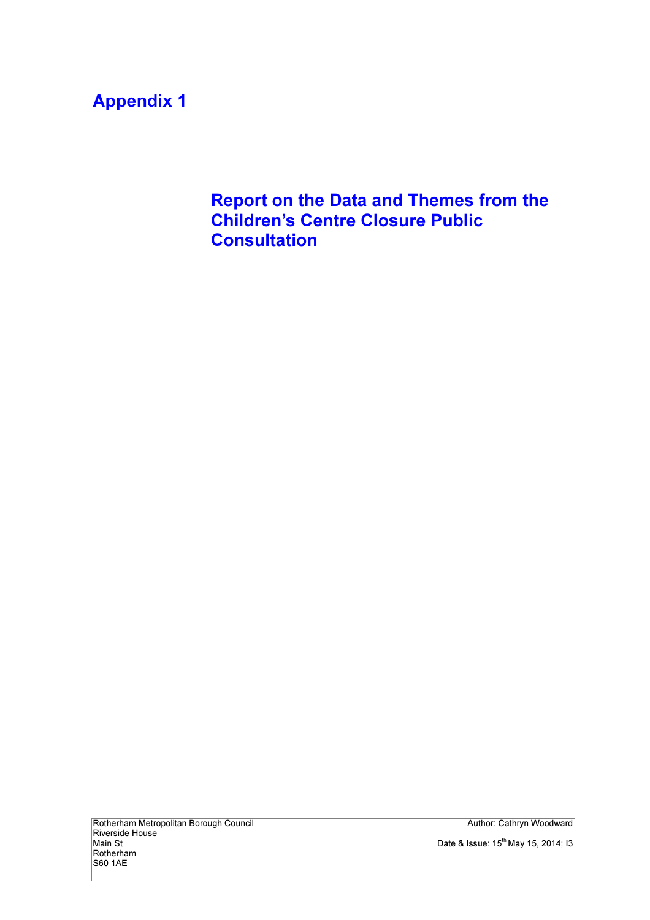## Appendix 1

Report on the Data and Themes from the Children's Centre Closure Public **Consultation**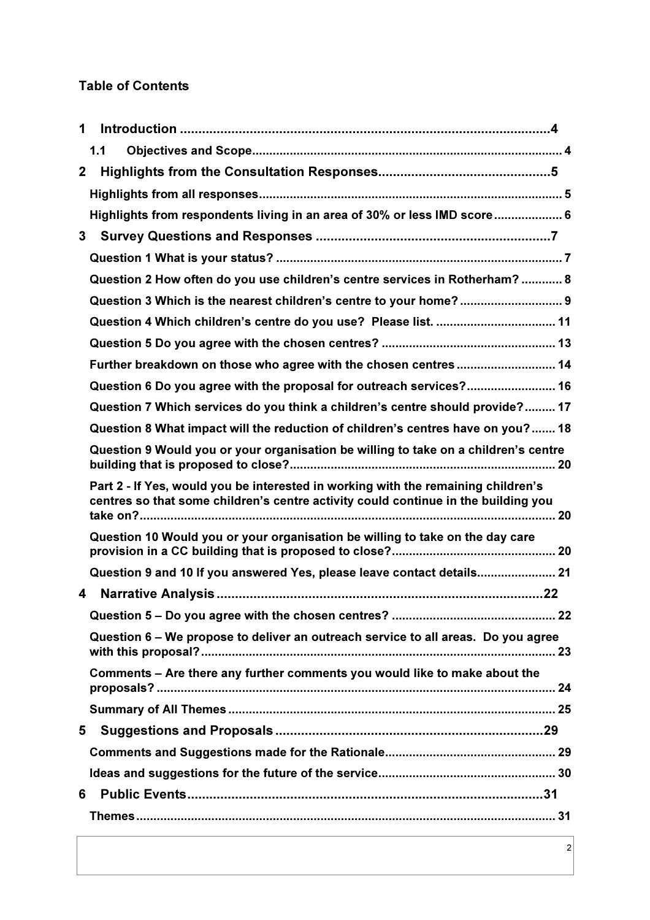### Table of Contents

| 1            |                                                                                                                                                                         |
|--------------|-------------------------------------------------------------------------------------------------------------------------------------------------------------------------|
|              | 1.1                                                                                                                                                                     |
| $\mathbf{2}$ |                                                                                                                                                                         |
|              |                                                                                                                                                                         |
|              | Highlights from respondents living in an area of 30% or less IMD score 6                                                                                                |
| 3            |                                                                                                                                                                         |
|              |                                                                                                                                                                         |
|              | Question 2 How often do you use children's centre services in Rotherham?  8                                                                                             |
|              | Question 3 Which is the nearest children's centre to your home? 9                                                                                                       |
|              | Question 4 Which children's centre do you use? Please list.  11                                                                                                         |
|              |                                                                                                                                                                         |
|              | Further breakdown on those who agree with the chosen centres 14                                                                                                         |
|              | Question 6 Do you agree with the proposal for outreach services? 16                                                                                                     |
|              | Question 7 Which services do you think a children's centre should provide? 17                                                                                           |
|              | Question 8 What impact will the reduction of children's centres have on you? 18                                                                                         |
|              | Question 9 Would you or your organisation be willing to take on a children's centre                                                                                     |
|              |                                                                                                                                                                         |
|              | Part 2 - If Yes, would you be interested in working with the remaining children's<br>centres so that some children's centre activity could continue in the building you |
|              | Question 10 Would you or your organisation be willing to take on the day care                                                                                           |
|              | Question 9 and 10 If you answered Yes, please leave contact details 21                                                                                                  |
| 4            |                                                                                                                                                                         |
|              |                                                                                                                                                                         |
|              | Question 6 – We propose to deliver an outreach service to all areas. Do you agree                                                                                       |
|              | Comments - Are there any further comments you would like to make about the                                                                                              |
|              |                                                                                                                                                                         |
| 5            |                                                                                                                                                                         |
|              |                                                                                                                                                                         |
|              |                                                                                                                                                                         |
| 6            |                                                                                                                                                                         |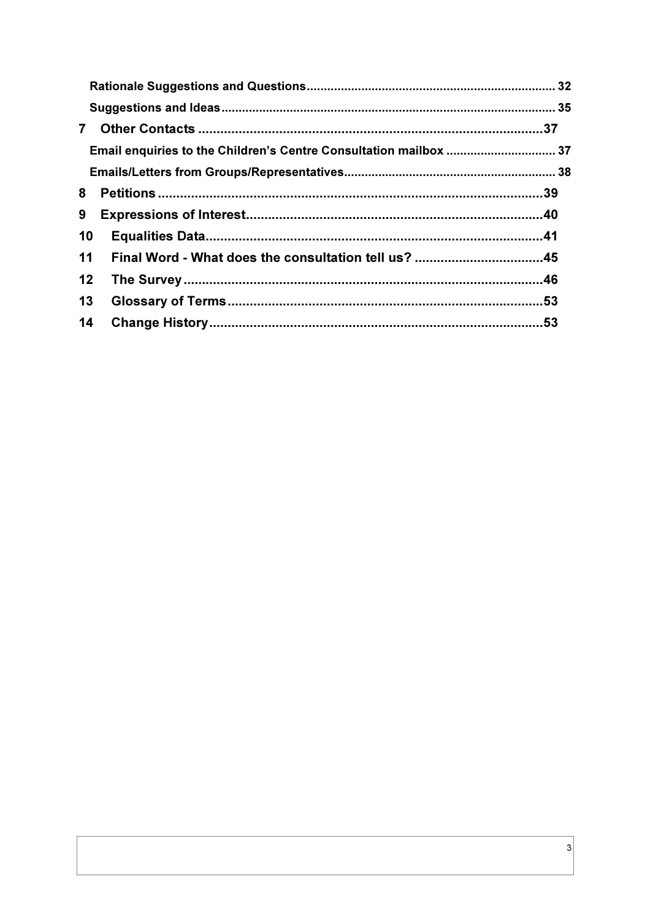| $\overline{7}$ |                                                                   |  |
|----------------|-------------------------------------------------------------------|--|
|                | Email enquiries to the Children's Centre Consultation mailbox  37 |  |
|                |                                                                   |  |
| 8              |                                                                   |  |
| 9              |                                                                   |  |
| 10             |                                                                   |  |
| 11             |                                                                   |  |
| 12             |                                                                   |  |
| 13             |                                                                   |  |
| 14             |                                                                   |  |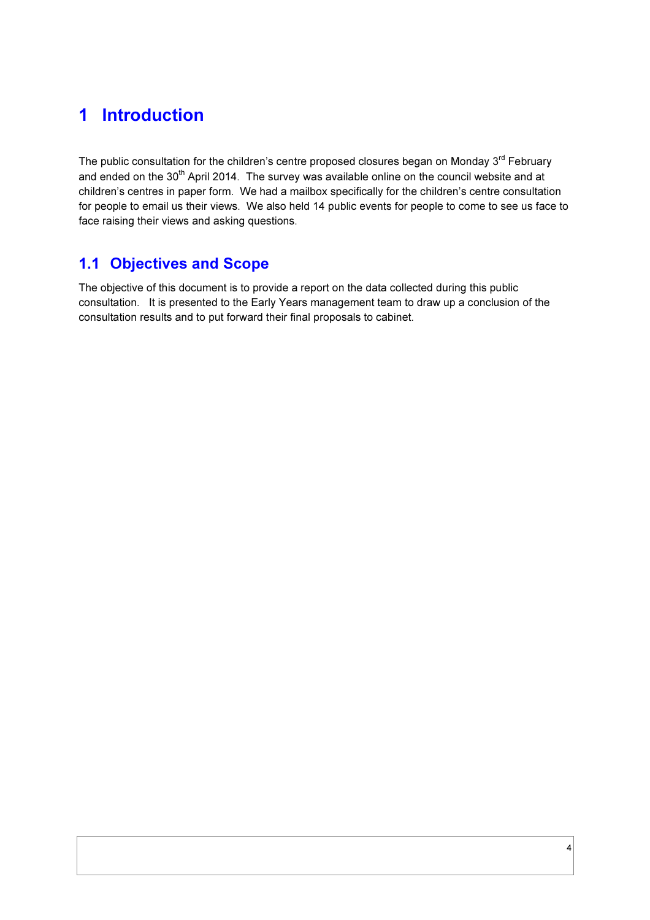## 1 Introduction

The public consultation for the children's centre proposed closures began on Monday 3<sup>rd</sup> February and ended on the 30<sup>th</sup> April 2014. The survey was available online on the council website and at children's centres in paper form. We had a mailbox specifically for the children's centre consultation for people to email us their views. We also held 14 public events for people to come to see us face to face raising their views and asking questions.

### 1.1 Objectives and Scope

The objective of this document is to provide a report on the data collected during this public consultation. It is presented to the Early Years management team to draw up a conclusion of the consultation results and to put forward their final proposals to cabinet.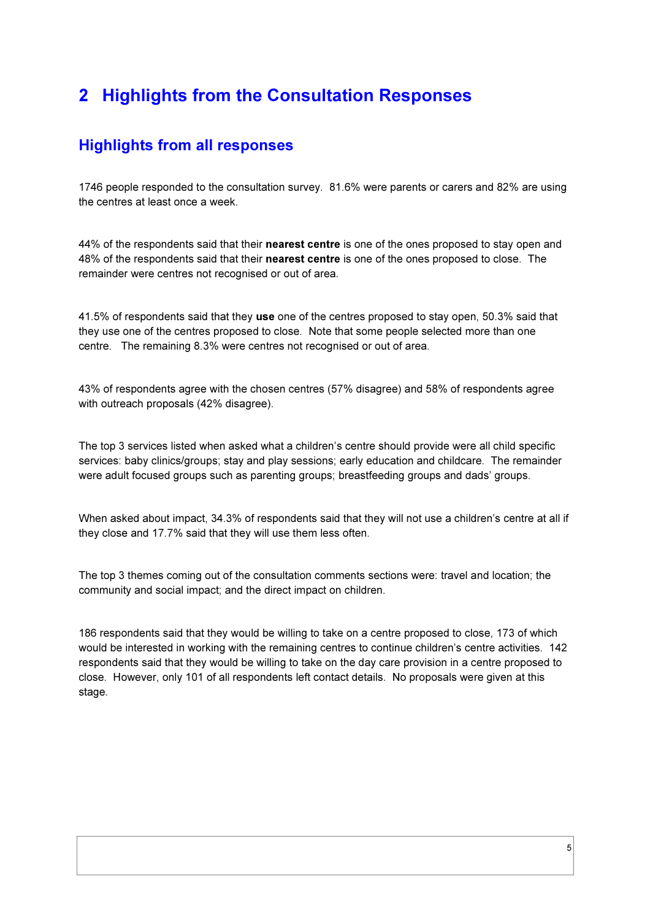## 2 Highlights from the Consultation Responses

### Highlights from all responses

1746 people responded to the consultation survey. 81.6% were parents or carers and 82% are using the centres at least once a week.

44% of the respondents said that their nearest centre is one of the ones proposed to stay open and 48% of the respondents said that their nearest centre is one of the ones proposed to close. The remainder were centres not recognised or out of area.

41.5% of respondents said that they use one of the centres proposed to stay open, 50.3% said that they use one of the centres proposed to close. Note that some people selected more than one centre. The remaining 8.3% were centres not recognised or out of area.

43% of respondents agree with the chosen centres (57% disagree) and 58% of respondents agree with outreach proposals (42% disagree).

The top 3 services listed when asked what a children's centre should provide were all child specific services: baby clinics/groups; stay and play sessions; early education and childcare. The remainder were adult focused groups such as parenting groups; breastfeeding groups and dads' groups.

When asked about impact, 34.3% of respondents said that they will not use a children's centre at all if they close and 17.7% said that they will use them less often.

The top 3 themes coming out of the consultation comments sections were: travel and location; the community and social impact; and the direct impact on children.

186 respondents said that they would be willing to take on a centre proposed to close, 173 of which would be interested in working with the remaining centres to continue children's centre activities. 142 respondents said that they would be willing to take on the day care provision in a centre proposed to close. However, only 101 of all respondents left contact details. No proposals were given at this stage.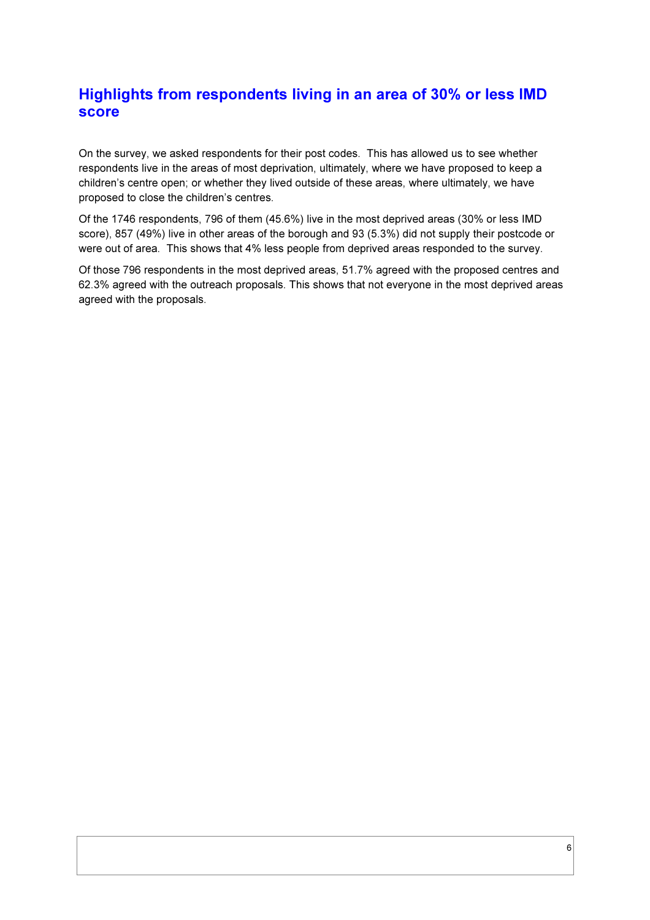### Highlights from respondents living in an area of 30% or less IMD score

On the survey, we asked respondents for their post codes. This has allowed us to see whether respondents live in the areas of most deprivation, ultimately, where we have proposed to keep a children's centre open; or whether they lived outside of these areas, where ultimately, we have proposed to close the children's centres.

Of the 1746 respondents, 796 of them (45.6%) live in the most deprived areas (30% or less IMD score), 857 (49%) live in other areas of the borough and 93 (5.3%) did not supply their postcode or were out of area. This shows that 4% less people from deprived areas responded to the survey.

Of those 796 respondents in the most deprived areas, 51.7% agreed with the proposed centres and 62.3% agreed with the outreach proposals. This shows that not everyone in the most deprived areas agreed with the proposals.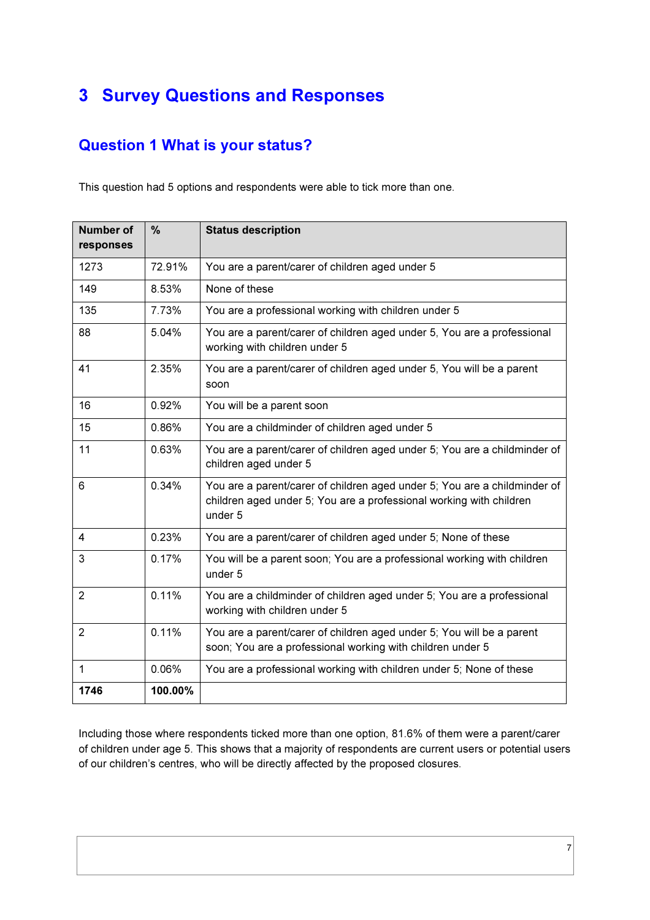## 3 Survey Questions and Responses

## Question 1 What is your status?

This question had 5 options and respondents were able to tick more than one.

| <b>Number of</b><br>responses | %       | <b>Status description</b>                                                                                                                                   |
|-------------------------------|---------|-------------------------------------------------------------------------------------------------------------------------------------------------------------|
| 1273                          | 72.91%  | You are a parent/carer of children aged under 5                                                                                                             |
| 149                           | 8.53%   | None of these                                                                                                                                               |
| 135                           | 7.73%   | You are a professional working with children under 5                                                                                                        |
| 88                            | 5.04%   | You are a parent/carer of children aged under 5, You are a professional<br>working with children under 5                                                    |
| 41                            | 2.35%   | You are a parent/carer of children aged under 5, You will be a parent<br>soon                                                                               |
| 16                            | 0.92%   | You will be a parent soon                                                                                                                                   |
| 15                            | 0.86%   | You are a childminder of children aged under 5                                                                                                              |
| 11                            | 0.63%   | You are a parent/carer of children aged under 5; You are a childminder of<br>children aged under 5                                                          |
| 6                             | 0.34%   | You are a parent/carer of children aged under 5; You are a childminder of<br>children aged under 5; You are a professional working with children<br>under 5 |
| 4                             | 0.23%   | You are a parent/carer of children aged under 5; None of these                                                                                              |
| 3                             | 0.17%   | You will be a parent soon; You are a professional working with children<br>under 5                                                                          |
| $\overline{2}$                | 0.11%   | You are a childminder of children aged under 5; You are a professional<br>working with children under 5                                                     |
| $\overline{2}$                | 0.11%   | You are a parent/carer of children aged under 5; You will be a parent<br>soon; You are a professional working with children under 5                         |
| $\mathbf{1}$                  | 0.06%   | You are a professional working with children under 5; None of these                                                                                         |
| 1746                          | 100.00% |                                                                                                                                                             |

Including those where respondents ticked more than one option, 81.6% of them were a parent/carer of children under age 5. This shows that a majority of respondents are current users or potential users of our children's centres, who will be directly affected by the proposed closures.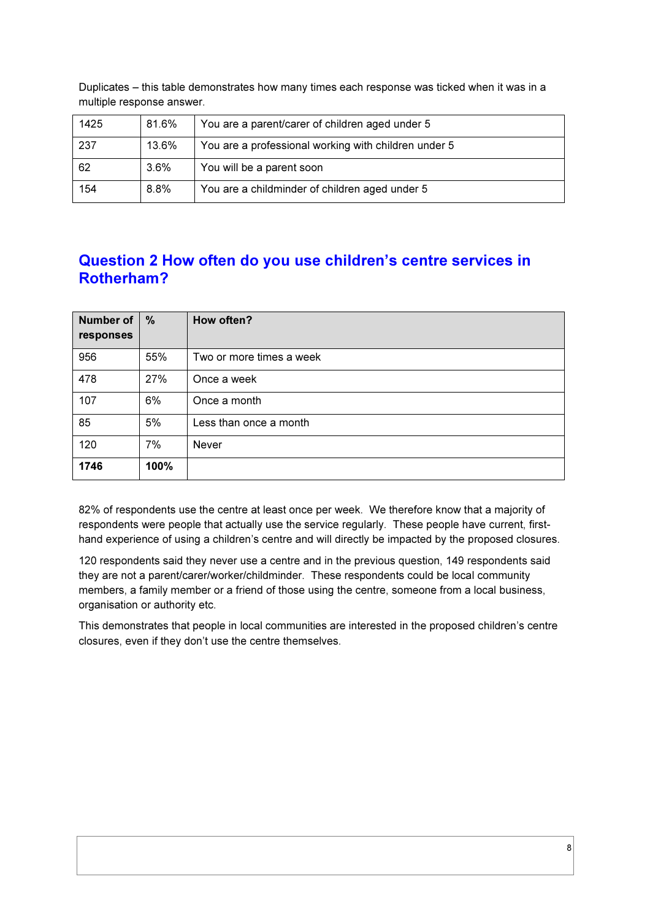Duplicates – this table demonstrates how many times each response was ticked when it was in a multiple response answer.

| 1425 | 81.6% | You are a parent/carer of children aged under 5      |
|------|-------|------------------------------------------------------|
| 237  | 13.6% | You are a professional working with children under 5 |
| 62   | 3.6%  | You will be a parent soon                            |
| 154  | 8.8%  | You are a childminder of children aged under 5       |

### Question 2 How often do you use children's centre services in Rotherham?

| <b>Number of</b><br>responses | %    | How often?               |
|-------------------------------|------|--------------------------|
| 956                           | 55%  | Two or more times a week |
| 478                           | 27%  | Once a week              |
| 107                           | 6%   | Once a month             |
| 85                            | 5%   | Less than once a month   |
| 120                           | 7%   | Never                    |
| 1746                          | 100% |                          |

82% of respondents use the centre at least once per week. We therefore know that a majority of respondents were people that actually use the service regularly. These people have current, firsthand experience of using a children's centre and will directly be impacted by the proposed closures.

120 respondents said they never use a centre and in the previous question, 149 respondents said they are not a parent/carer/worker/childminder. These respondents could be local community members, a family member or a friend of those using the centre, someone from a local business, organisation or authority etc.

This demonstrates that people in local communities are interested in the proposed children's centre closures, even if they don't use the centre themselves.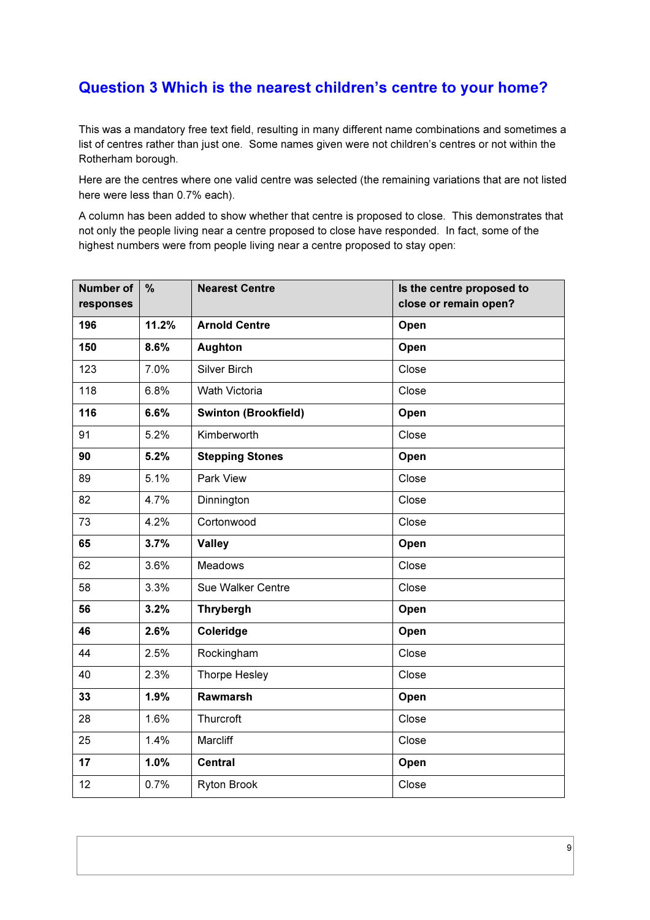### Question 3 Which is the nearest children's centre to your home?

This was a mandatory free text field, resulting in many different name combinations and sometimes a list of centres rather than just one. Some names given were not children's centres or not within the Rotherham borough.

Here are the centres where one valid centre was selected (the remaining variations that are not listed here were less than 0.7% each).

A column has been added to show whether that centre is proposed to close. This demonstrates that not only the people living near a centre proposed to close have responded. In fact, some of the highest numbers were from people living near a centre proposed to stay open:

| <b>Number of</b><br>responses | $\frac{9}{6}$ | <b>Nearest Centre</b>       | Is the centre proposed to<br>close or remain open? |
|-------------------------------|---------------|-----------------------------|----------------------------------------------------|
| 196                           | 11.2%         | <b>Arnold Centre</b>        | Open                                               |
| 150                           | 8.6%          | <b>Aughton</b>              | Open                                               |
| 123                           | 7.0%          | Silver Birch                | Close                                              |
| 118                           | 6.8%          | Wath Victoria               | Close                                              |
| 116                           | 6.6%          | <b>Swinton (Brookfield)</b> | Open                                               |
| 91                            | 5.2%          | Kimberworth                 | Close                                              |
| 90                            | 5.2%          | <b>Stepping Stones</b>      | Open                                               |
| 89                            | 5.1%          | Park View                   | Close                                              |
| 82                            | 4.7%          | Dinnington                  | Close                                              |
| 73                            | 4.2%          | Cortonwood                  | Close                                              |
| 65                            | 3.7%          | <b>Valley</b>               | Open                                               |
| 62                            | 3.6%          | <b>Meadows</b>              | Close                                              |
| 58                            | 3.3%          | Sue Walker Centre           | Close                                              |
| 56                            | 3.2%          | <b>Thrybergh</b>            | Open                                               |
| 46                            | 2.6%          | Coleridge                   | Open                                               |
| 44                            | 2.5%          | Rockingham                  | Close                                              |
| 40                            | 2.3%          | Thorpe Hesley               | Close                                              |
| 33                            | 1.9%          | <b>Rawmarsh</b>             | Open                                               |
| 28                            | 1.6%          | Thurcroft                   | Close                                              |
| 25                            | 1.4%          | Marcliff                    | Close                                              |
| 17                            | 1.0%          | <b>Central</b>              | Open                                               |
| 12                            | 0.7%          | <b>Ryton Brook</b>          | Close                                              |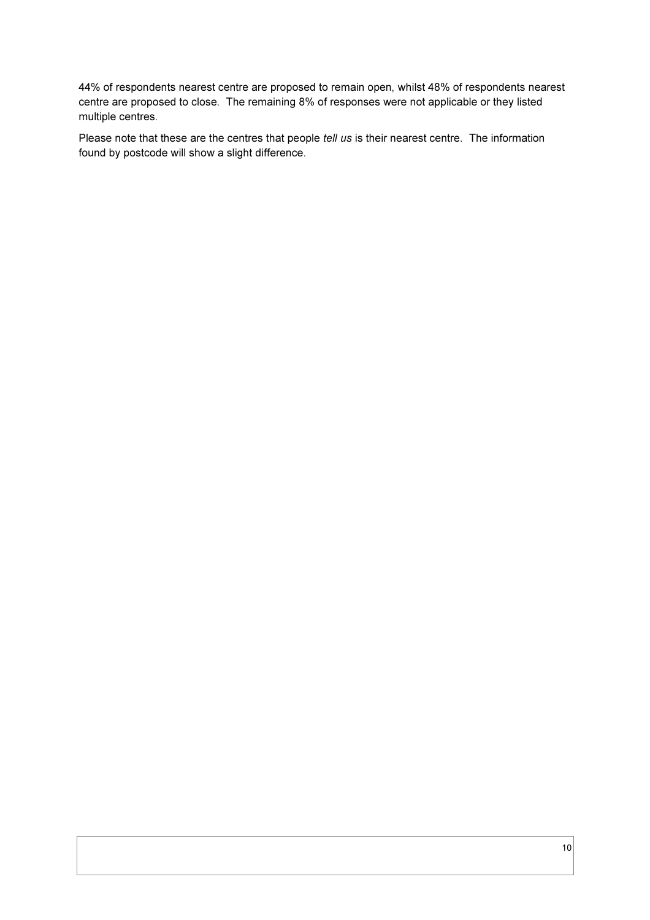44% of respondents nearest centre are proposed to remain open, whilst 48% of respondents nearest centre are proposed to close. The remaining 8% of responses were not applicable or they listed multiple centres.

Please note that these are the centres that people *tell us* is their nearest centre. The information found by postcode will show a slight difference.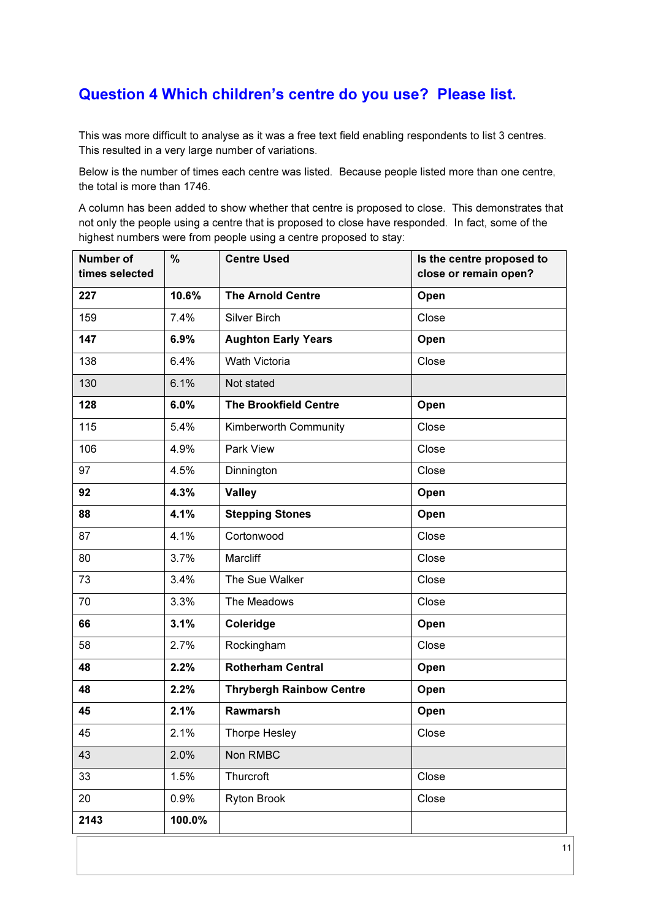### Question 4 Which children's centre do you use? Please list.

This was more difficult to analyse as it was a free text field enabling respondents to list 3 centres. This resulted in a very large number of variations.

Below is the number of times each centre was listed. Because people listed more than one centre, the total is more than 1746.

A column has been added to show whether that centre is proposed to close. This demonstrates that not only the people using a centre that is proposed to close have responded. In fact, some of the highest numbers were from people using a centre proposed to stay:

| Number of<br>times selected | $\frac{9}{6}$ | <b>Centre Used</b>              | Is the centre proposed to<br>close or remain open? |
|-----------------------------|---------------|---------------------------------|----------------------------------------------------|
| 227                         | 10.6%         | <b>The Arnold Centre</b>        | Open                                               |
| 159                         | 7.4%          | Silver Birch                    | Close                                              |
| 147                         | 6.9%          | <b>Aughton Early Years</b>      | Open                                               |
| 138                         | 6.4%          | <b>Wath Victoria</b>            | Close                                              |
| 130                         | 6.1%          | Not stated                      |                                                    |
| 128                         | 6.0%          | <b>The Brookfield Centre</b>    | Open                                               |
| 115                         | 5.4%          | Kimberworth Community           | Close                                              |
| 106                         | 4.9%          | Park View                       | Close                                              |
| 97                          | 4.5%          | Dinnington                      | Close                                              |
| 92                          | 4.3%          | <b>Valley</b>                   | Open                                               |
| 88                          | 4.1%          | <b>Stepping Stones</b>          | Open                                               |
| 87                          | 4.1%          | Cortonwood                      | Close                                              |
| 80                          | 3.7%          | Marcliff                        | Close                                              |
| 73                          | 3.4%          | The Sue Walker                  | Close                                              |
| 70                          | 3.3%          | The Meadows                     | Close                                              |
| 66                          | 3.1%          | Coleridge                       | Open                                               |
| 58                          | 2.7%          | Rockingham                      | Close                                              |
| 48                          | 2.2%          | <b>Rotherham Central</b>        | Open                                               |
| 48                          | 2.2%          | <b>Thrybergh Rainbow Centre</b> | Open                                               |
| 45                          | 2.1%          | Rawmarsh                        | Open                                               |
| 45                          | 2.1%          | <b>Thorpe Hesley</b>            | Close                                              |
| 43                          | 2.0%          | Non RMBC                        |                                                    |
| 33                          | 1.5%          | Thurcroft                       | Close                                              |
| 20                          | 0.9%          | Ryton Brook                     | Close                                              |
| 2143                        | 100.0%        |                                 |                                                    |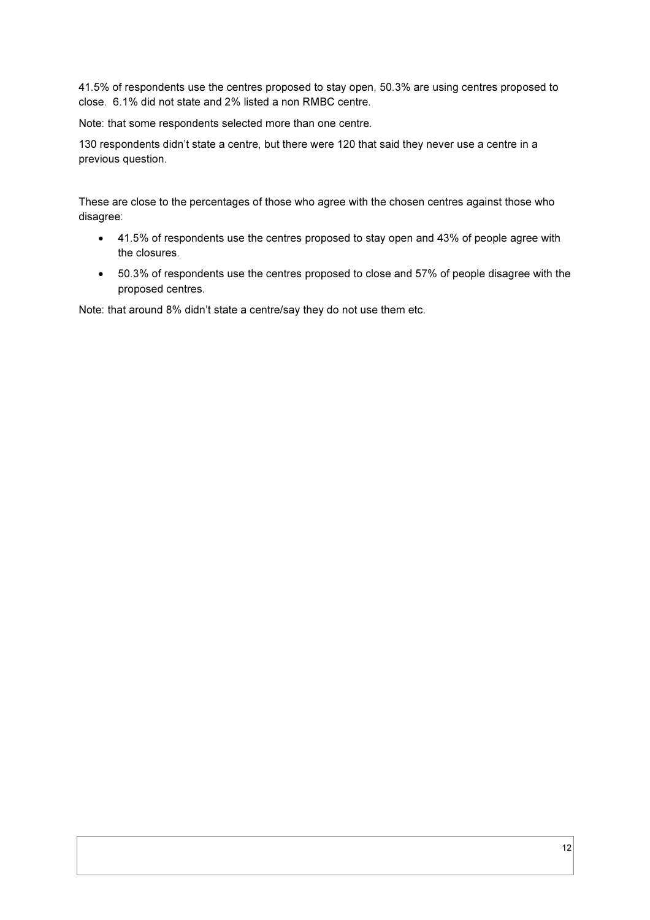41.5% of respondents use the centres proposed to stay open, 50.3% are using centres proposed to close. 6.1% did not state and 2% listed a non RMBC centre.

Note: that some respondents selected more than one centre.

130 respondents didn't state a centre, but there were 120 that said they never use a centre in a previous question.

These are close to the percentages of those who agree with the chosen centres against those who disagree:

- 41.5% of respondents use the centres proposed to stay open and 43% of people agree with the closures.
- 50.3% of respondents use the centres proposed to close and 57% of people disagree with the proposed centres.

Note: that around 8% didn't state a centre/say they do not use them etc.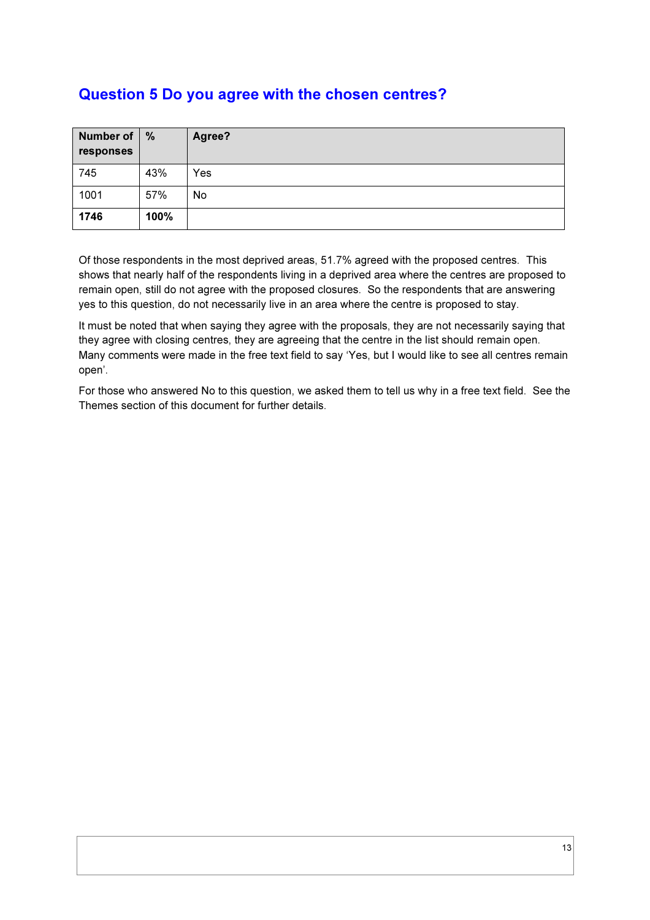### Question 5 Do you agree with the chosen centres?

| <b>Number of</b><br>responses | %    | Agree? |
|-------------------------------|------|--------|
| 745                           | 43%  | Yes    |
| 1001                          | 57%  | No     |
| 1746                          | 100% |        |

Of those respondents in the most deprived areas, 51.7% agreed with the proposed centres. This shows that nearly half of the respondents living in a deprived area where the centres are proposed to remain open, still do not agree with the proposed closures. So the respondents that are answering yes to this question, do not necessarily live in an area where the centre is proposed to stay.

It must be noted that when saying they agree with the proposals, they are not necessarily saying that they agree with closing centres, they are agreeing that the centre in the list should remain open. Many comments were made in the free text field to say 'Yes, but I would like to see all centres remain open'.

For those who answered No to this question, we asked them to tell us why in a free text field. See the Themes section of this document for further details.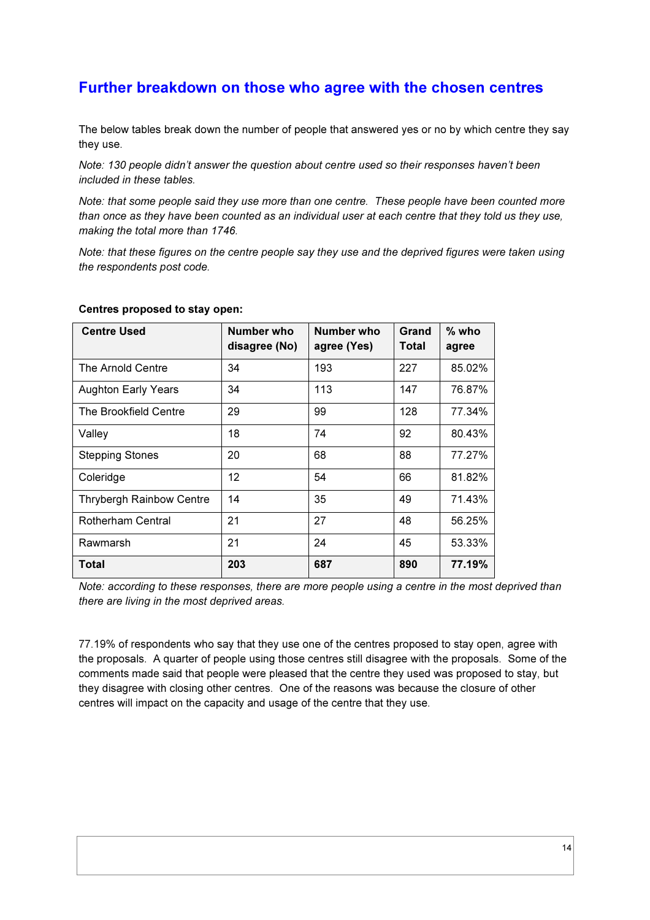### Further breakdown on those who agree with the chosen centres

The below tables break down the number of people that answered yes or no by which centre they say they use.

*Note: 130 people didn't answer the question about centre used so their responses haven't been included in these tables.* 

*Note: that some people said they use more than one centre. These people have been counted more than once as they have been counted as an individual user at each centre that they told us they use, making the total more than 1746.* 

*Note: that these figures on the centre people say they use and the deprived figures were taken using the respondents post code.* 

| <b>Centre Used</b>              | Number who<br>disagree (No) | Number who<br>agree (Yes) | Grand<br>Total | $%$ who<br>agree |
|---------------------------------|-----------------------------|---------------------------|----------------|------------------|
| The Arnold Centre               | 34                          | 193                       | 227            | 85.02%           |
| <b>Aughton Early Years</b>      | 34                          | 113                       | 147            | 76.87%           |
| The Brookfield Centre           | 29                          | 99                        | 128            | 77.34%           |
| Valley                          | 18                          | 74                        | 92             | 80.43%           |
| <b>Stepping Stones</b>          | 20                          | 68                        | 88             | 77.27%           |
| Coleridge                       | 12                          | 54                        | 66             | 81.82%           |
| <b>Thrybergh Rainbow Centre</b> | 14                          | 35                        | 49             | 71.43%           |
| <b>Rotherham Central</b>        | 21                          | 27                        | 48             | 56.25%           |
| Rawmarsh                        | 21                          | 24                        | 45             | 53.33%           |
| Total                           | 203                         | 687                       | 890            | 77.19%           |

### Centres proposed to stay open:

*Note: according to these responses, there are more people using a centre in the most deprived than there are living in the most deprived areas.* 

77.19% of respondents who say that they use one of the centres proposed to stay open, agree with the proposals. A quarter of people using those centres still disagree with the proposals. Some of the comments made said that people were pleased that the centre they used was proposed to stay, but they disagree with closing other centres. One of the reasons was because the closure of other centres will impact on the capacity and usage of the centre that they use.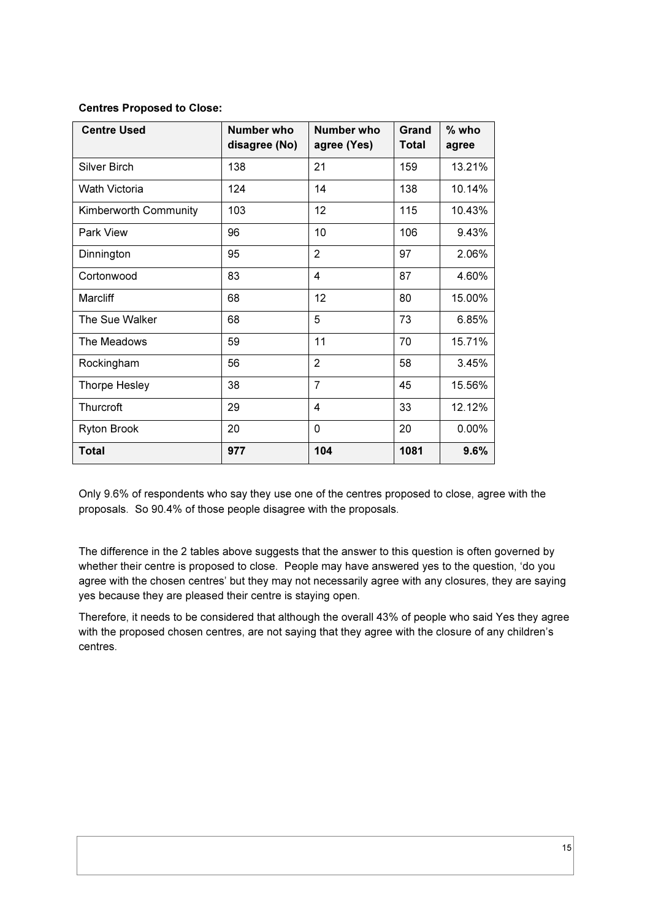| <b>Centre Used</b>    | Number who<br>disagree (No) | Number who<br>agree (Yes) | Grand<br><b>Total</b> | % who<br>agree |
|-----------------------|-----------------------------|---------------------------|-----------------------|----------------|
| Silver Birch          | 138                         | 21                        | 159                   | 13.21%         |
| <b>Wath Victoria</b>  | 124                         | 14                        | 138                   | 10.14%         |
| Kimberworth Community | 103                         | 12                        | 115                   | 10.43%         |
| Park View             | 96                          | 10                        | 106                   | 9.43%          |
| Dinnington            | 95                          | $\overline{2}$            | 97                    | 2.06%          |
| Cortonwood            | 83                          | 4                         | 87                    | 4.60%          |
| <b>Marcliff</b>       | 68                          | 12                        | 80                    | 15.00%         |
| The Sue Walker        | 68                          | 5                         | 73                    | 6.85%          |
| The Meadows           | 59                          | 11                        | 70                    | 15.71%         |
| Rockingham            | 56                          | $\overline{2}$            | 58                    | 3.45%          |
| Thorpe Hesley         | 38                          | $\overline{7}$            | 45                    | 15.56%         |
| Thurcroft             | 29                          | 4                         | 33                    | 12.12%         |
| Ryton Brook           | 20                          | 0                         | 20                    | 0.00%          |
| <b>Total</b>          | 977                         | 104                       | 1081                  | 9.6%           |

### Centres Proposed to Close:

Only 9.6% of respondents who say they use one of the centres proposed to close, agree with the proposals. So 90.4% of those people disagree with the proposals.

The difference in the 2 tables above suggests that the answer to this question is often governed by whether their centre is proposed to close. People may have answered yes to the question, 'do you agree with the chosen centres' but they may not necessarily agree with any closures, they are saying yes because they are pleased their centre is staying open.

Therefore, it needs to be considered that although the overall 43% of people who said Yes they agree with the proposed chosen centres, are not saying that they agree with the closure of any children's centres.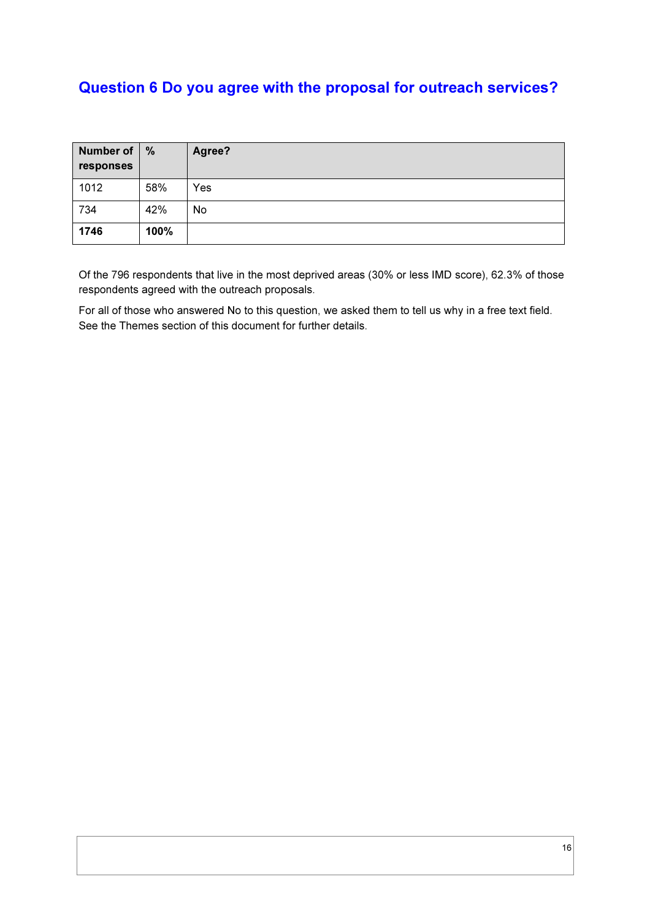## Question 6 Do you agree with the proposal for outreach services?

| <b>Number of</b><br>responses | %    | Agree? |
|-------------------------------|------|--------|
| 1012                          | 58%  | Yes    |
| 734                           | 42%  | No     |
| 1746                          | 100% |        |

Of the 796 respondents that live in the most deprived areas (30% or less IMD score), 62.3% of those respondents agreed with the outreach proposals.

For all of those who answered No to this question, we asked them to tell us why in a free text field. See the Themes section of this document for further details.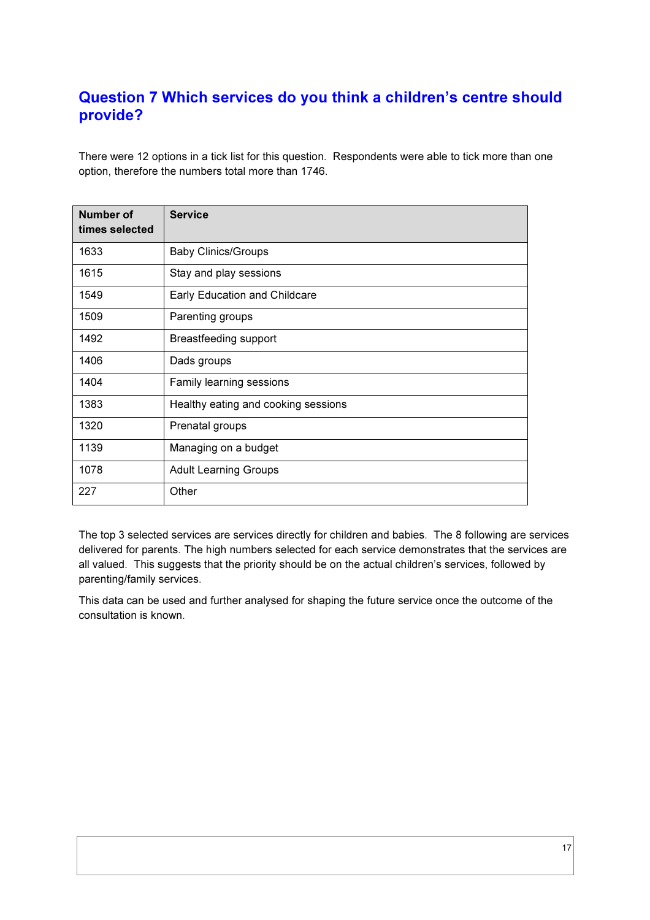### Question 7 Which services do you think a children's centre should provide?

There were 12 options in a tick list for this question. Respondents were able to tick more than one option, therefore the numbers total more than 1746.

| <b>Number of</b><br>times selected | <b>Service</b>                      |
|------------------------------------|-------------------------------------|
| 1633                               | <b>Baby Clinics/Groups</b>          |
| 1615                               | Stay and play sessions              |
| 1549                               | Early Education and Childcare       |
| 1509                               | Parenting groups                    |
| 1492                               | Breastfeeding support               |
| 1406                               | Dads groups                         |
| 1404                               | Family learning sessions            |
| 1383                               | Healthy eating and cooking sessions |
| 1320                               | Prenatal groups                     |
| 1139                               | Managing on a budget                |
| 1078                               | <b>Adult Learning Groups</b>        |
| 227                                | Other                               |

The top 3 selected services are services directly for children and babies. The 8 following are services delivered for parents. The high numbers selected for each service demonstrates that the services are all valued. This suggests that the priority should be on the actual children's services, followed by parenting/family services.

This data can be used and further analysed for shaping the future service once the outcome of the consultation is known.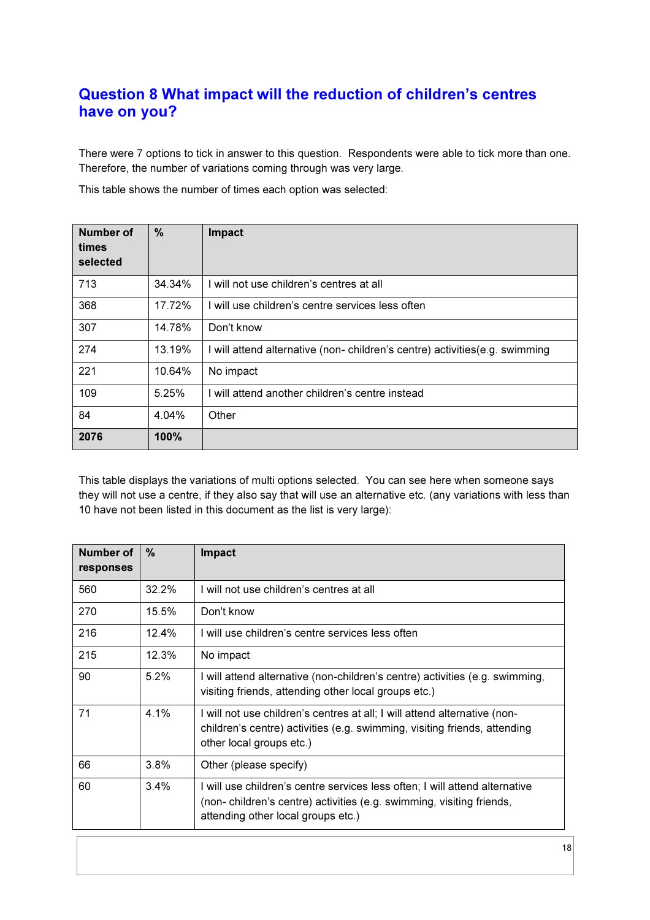### Question 8 What impact will the reduction of children's centres have on you?

There were 7 options to tick in answer to this question. Respondents were able to tick more than one. Therefore, the number of variations coming through was very large.

This table shows the number of times each option was selected:

| Number of<br>times<br>selected | $\frac{0}{0}$ | Impact                                                                      |
|--------------------------------|---------------|-----------------------------------------------------------------------------|
| 713                            | 34.34%        | I will not use children's centres at all                                    |
| 368                            | 17.72%        | I will use children's centre services less often                            |
| 307                            | 14.78%        | Don't know                                                                  |
| 274                            | 13.19%        | I will attend alternative (non-children's centre) activities (e.g. swimming |
| 221                            | 10.64%        | No impact                                                                   |
| 109                            | 5.25%         | I will attend another children's centre instead                             |
| 84                             | 4.04%         | Other                                                                       |
| 2076                           | 100%          |                                                                             |

This table displays the variations of multi options selected. You can see here when someone says they will not use a centre, if they also say that will use an alternative etc. (any variations with less than 10 have not been listed in this document as the list is very large):

| Number of<br>responses | $\%$  | <b>Impact</b>                                                                                                                                                                             |
|------------------------|-------|-------------------------------------------------------------------------------------------------------------------------------------------------------------------------------------------|
| 560                    | 32.2% | I will not use children's centres at all                                                                                                                                                  |
| 270                    | 15.5% | Don't know                                                                                                                                                                                |
| 216                    | 12.4% | I will use children's centre services less often                                                                                                                                          |
| 215                    | 12.3% | No impact                                                                                                                                                                                 |
| 90                     | 5.2%  | I will attend alternative (non-children's centre) activities (e.g. swimming,<br>visiting friends, attending other local groups etc.)                                                      |
| 71                     | 4.1%  | I will not use children's centres at all; I will attend alternative (non-<br>children's centre) activities (e.g. swimming, visiting friends, attending<br>other local groups etc.)        |
| 66                     | 3.8%  | Other (please specify)                                                                                                                                                                    |
| 60                     | 3.4%  | I will use children's centre services less often; I will attend alternative<br>(non-children's centre) activities (e.g. swimming, visiting friends,<br>attending other local groups etc.) |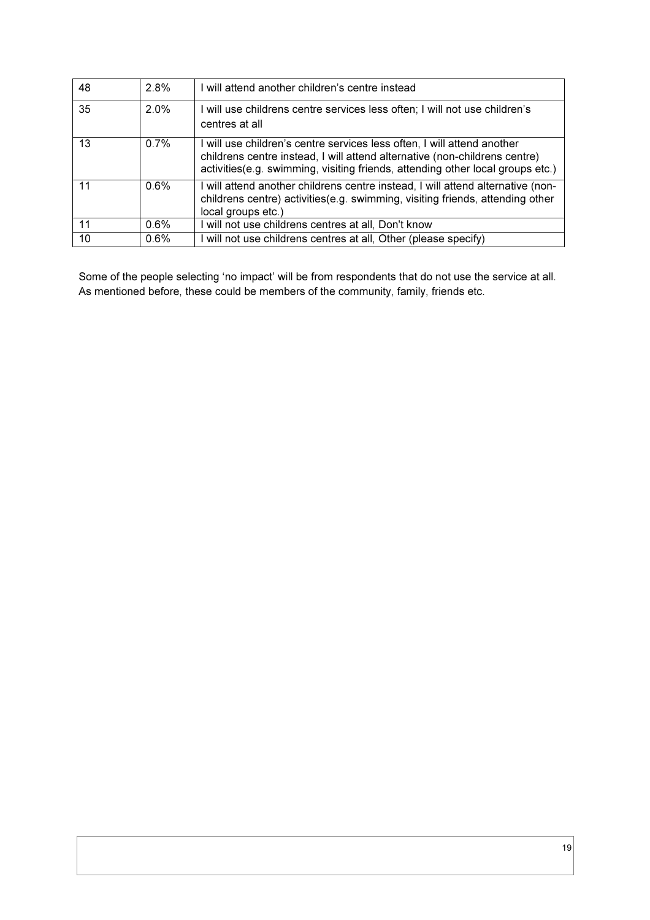| 48 | 2.8%    | I will attend another children's centre instead                                                                                                                                                                                          |
|----|---------|------------------------------------------------------------------------------------------------------------------------------------------------------------------------------------------------------------------------------------------|
| 35 | $2.0\%$ | I will use childrens centre services less often; I will not use children's<br>centres at all                                                                                                                                             |
| 13 | 0.7%    | I will use children's centre services less often, I will attend another<br>childrens centre instead, I will attend alternative (non-childrens centre)<br>activities (e.g. swimming, visiting friends, attending other local groups etc.) |
| 11 | 0.6%    | I will attend another childrens centre instead, I will attend alternative (non-<br>childrens centre) activities (e.g. swimming, visiting friends, attending other<br>local groups etc.)                                                  |
| 11 | 0.6%    | I will not use childrens centres at all, Don't know                                                                                                                                                                                      |
| 10 | 0.6%    | I will not use childrens centres at all, Other (please specify)                                                                                                                                                                          |

Some of the people selecting 'no impact' will be from respondents that do not use the service at all. As mentioned before, these could be members of the community, family, friends etc.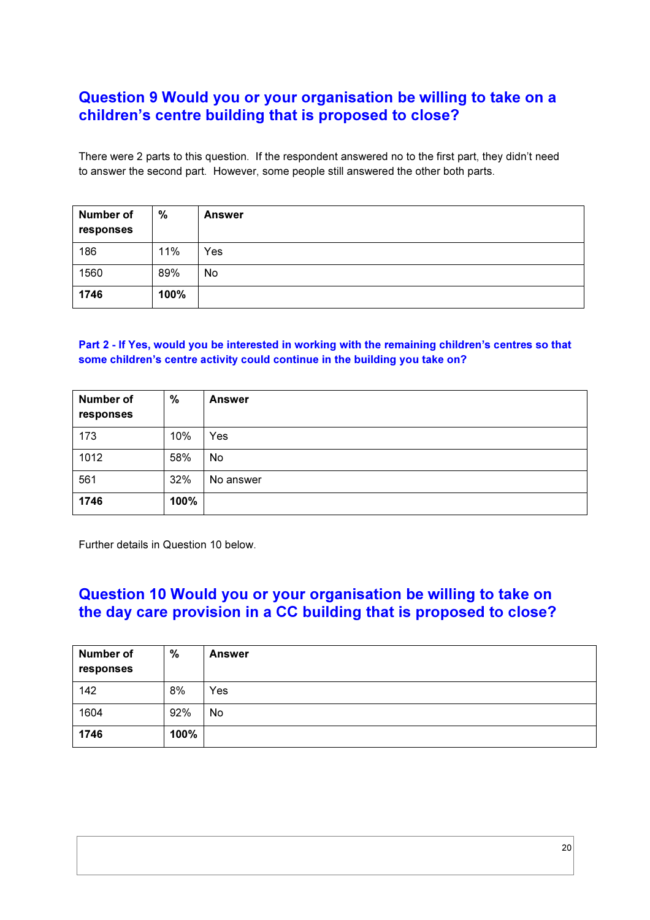### Question 9 Would you or your organisation be willing to take on a children's centre building that is proposed to close?

There were 2 parts to this question. If the respondent answered no to the first part, they didn't need to answer the second part. However, some people still answered the other both parts.

| <b>Number of</b><br>responses | $\%$ | <b>Answer</b> |
|-------------------------------|------|---------------|
| 186                           | 11%  | Yes           |
| 1560                          | 89%  | No            |
| 1746                          | 100% |               |

### Part 2 - If Yes, would you be interested in working with the remaining children's centres so that some children's centre activity could continue in the building you take on?

| <b>Number of</b><br>responses | $\frac{9}{6}$ | <b>Answer</b> |
|-------------------------------|---------------|---------------|
| 173                           | 10%           | Yes           |
| 1012                          | 58%           | No            |
| 561                           | 32%           | No answer     |
| 1746                          | 100%          |               |

Further details in Question 10 below.

### Question 10 Would you or your organisation be willing to take on the day care provision in a CC building that is proposed to close?

| <b>Number of</b><br>responses | %    | <b>Answer</b> |
|-------------------------------|------|---------------|
| 142                           | 8%   | Yes           |
| 1604                          | 92%  | No.           |
| 1746                          | 100% |               |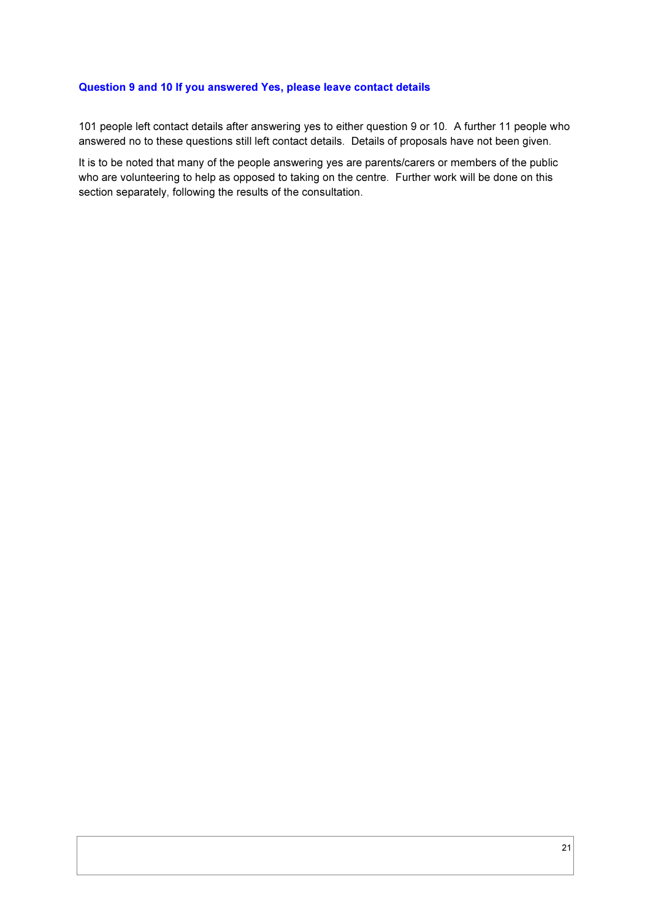#### Question 9 and 10 If you answered Yes, please leave contact details

101 people left contact details after answering yes to either question 9 or 10. A further 11 people who answered no to these questions still left contact details. Details of proposals have not been given.

It is to be noted that many of the people answering yes are parents/carers or members of the public who are volunteering to help as opposed to taking on the centre. Further work will be done on this section separately, following the results of the consultation.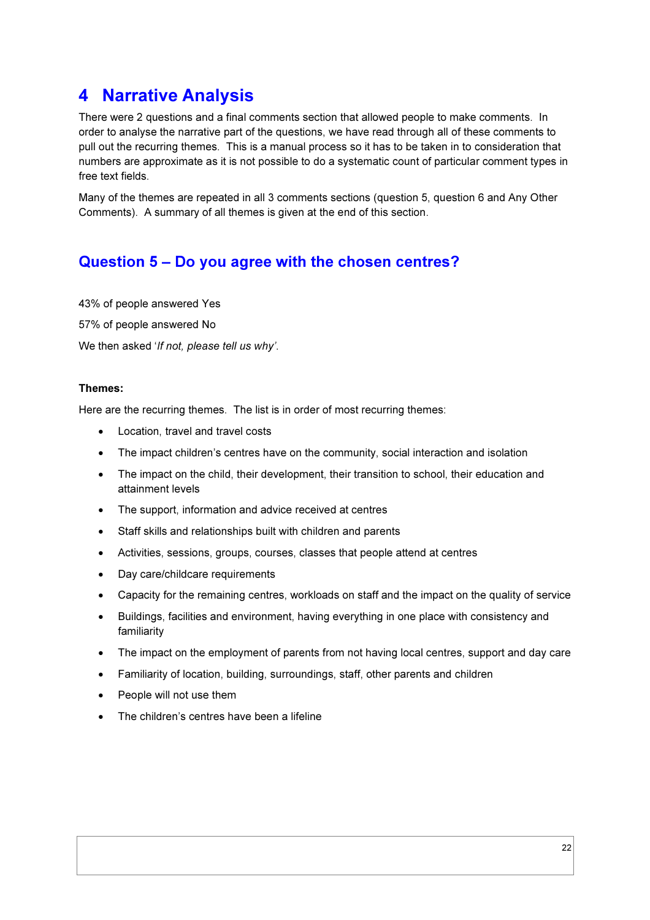## 4 Narrative Analysis

There were 2 questions and a final comments section that allowed people to make comments. In order to analyse the narrative part of the questions, we have read through all of these comments to pull out the recurring themes. This is a manual process so it has to be taken in to consideration that numbers are approximate as it is not possible to do a systematic count of particular comment types in free text fields.

Many of the themes are repeated in all 3 comments sections (question 5, question 6 and Any Other Comments). A summary of all themes is given at the end of this section.

### Question 5 – Do you agree with the chosen centres?

43% of people answered Yes 57% of people answered No We then asked '*If not, please tell us why'*.

### Themes:

Here are the recurring themes. The list is in order of most recurring themes:

- Location, travel and travel costs
- The impact children's centres have on the community, social interaction and isolation
- The impact on the child, their development, their transition to school, their education and attainment levels
- The support, information and advice received at centres
- Staff skills and relationships built with children and parents
- Activities, sessions, groups, courses, classes that people attend at centres
- Day care/childcare requirements
- Capacity for the remaining centres, workloads on staff and the impact on the quality of service
- Buildings, facilities and environment, having everything in one place with consistency and familiarity
- The impact on the employment of parents from not having local centres, support and day care
- Familiarity of location, building, surroundings, staff, other parents and children
- People will not use them
- The children's centres have been a lifeline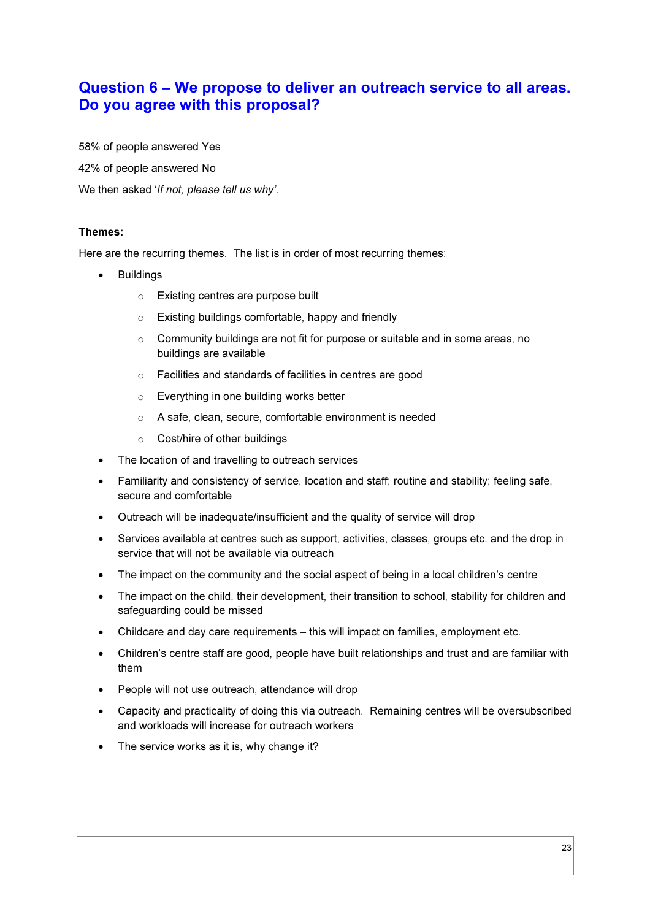### Question 6 – We propose to deliver an outreach service to all areas. Do you agree with this proposal?

58% of people answered Yes

42% of people answered No

We then asked '*If not, please tell us why'*.

#### Themes:

Here are the recurring themes. The list is in order of most recurring themes:

- **Buildings** 
	- o Existing centres are purpose built
	- o Existing buildings comfortable, happy and friendly
	- o Community buildings are not fit for purpose or suitable and in some areas, no buildings are available
	- o Facilities and standards of facilities in centres are good
	- o Everything in one building works better
	- o A safe, clean, secure, comfortable environment is needed
	- o Cost/hire of other buildings
- The location of and travelling to outreach services
- Familiarity and consistency of service, location and staff; routine and stability; feeling safe, secure and comfortable
- Outreach will be inadequate/insufficient and the quality of service will drop
- Services available at centres such as support, activities, classes, groups etc. and the drop in service that will not be available via outreach
- The impact on the community and the social aspect of being in a local children's centre
- The impact on the child, their development, their transition to school, stability for children and safeguarding could be missed
- Childcare and day care requirements this will impact on families, employment etc.
- Children's centre staff are good, people have built relationships and trust and are familiar with them
- People will not use outreach, attendance will drop
- Capacity and practicality of doing this via outreach. Remaining centres will be oversubscribed and workloads will increase for outreach workers
- The service works as it is, why change it?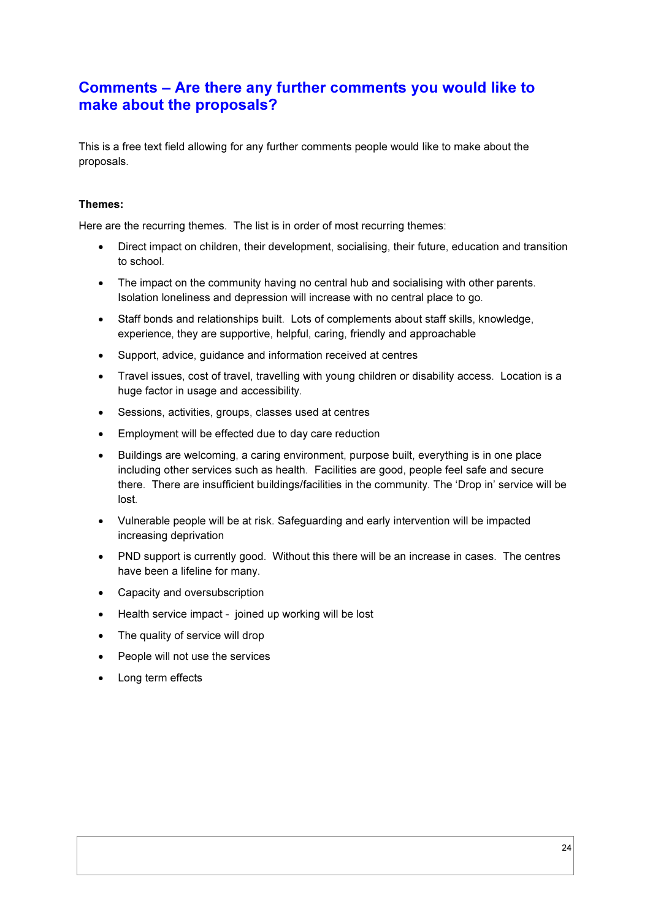### Comments – Are there any further comments you would like to make about the proposals?

This is a free text field allowing for any further comments people would like to make about the proposals.

#### Themes:

Here are the recurring themes. The list is in order of most recurring themes:

- Direct impact on children, their development, socialising, their future, education and transition to school.
- The impact on the community having no central hub and socialising with other parents. Isolation loneliness and depression will increase with no central place to go.
- Staff bonds and relationships built. Lots of complements about staff skills, knowledge, experience, they are supportive, helpful, caring, friendly and approachable
- Support, advice, guidance and information received at centres
- Travel issues, cost of travel, travelling with young children or disability access. Location is a huge factor in usage and accessibility.
- Sessions, activities, groups, classes used at centres
- Employment will be effected due to day care reduction
- Buildings are welcoming, a caring environment, purpose built, everything is in one place including other services such as health. Facilities are good, people feel safe and secure there. There are insufficient buildings/facilities in the community. The 'Drop in' service will be lost.
- Vulnerable people will be at risk. Safeguarding and early intervention will be impacted increasing deprivation
- PND support is currently good. Without this there will be an increase in cases. The centres have been a lifeline for many.
- Capacity and oversubscription
- Health service impact joined up working will be lost
- The quality of service will drop
- People will not use the services
- Long term effects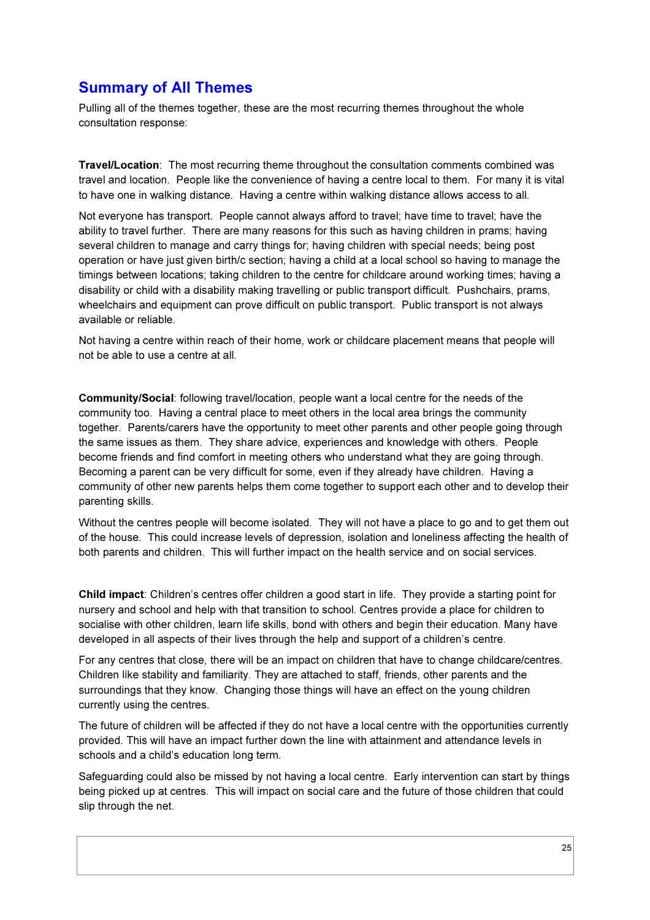### Summary of All Themes

Pulling all of the themes together, these are the most recurring themes throughout the whole consultation response:

Travel/Location: The most recurring theme throughout the consultation comments combined was travel and location. People like the convenience of having a centre local to them. For many it is vital to have one in walking distance. Having a centre within walking distance allows access to all.

Not everyone has transport. People cannot always afford to travel; have time to travel; have the ability to travel further. There are many reasons for this such as having children in prams; having several children to manage and carry things for; having children with special needs; being post operation or have just given birth/c section; having a child at a local school so having to manage the timings between locations; taking children to the centre for childcare around working times; having a disability or child with a disability making travelling or public transport difficult. Pushchairs, prams, wheelchairs and equipment can prove difficult on public transport. Public transport is not always available or reliable.

Not having a centre within reach of their home, work or childcare placement means that people will not be able to use a centre at all.

Community/Social: following travel/location, people want a local centre for the needs of the community too. Having a central place to meet others in the local area brings the community together. Parents/carers have the opportunity to meet other parents and other people going through the same issues as them. They share advice, experiences and knowledge with others. People become friends and find comfort in meeting others who understand what they are going through. Becoming a parent can be very difficult for some, even if they already have children. Having a community of other new parents helps them come together to support each other and to develop their parenting skills.

Without the centres people will become isolated. They will not have a place to go and to get them out of the house. This could increase levels of depression, isolation and loneliness affecting the health of both parents and children. This will further impact on the health service and on social services.

Child impact: Children's centres offer children a good start in life. They provide a starting point for nursery and school and help with that transition to school. Centres provide a place for children to socialise with other children, learn life skills, bond with others and begin their education. Many have developed in all aspects of their lives through the help and support of a children's centre.

For any centres that close, there will be an impact on children that have to change childcare/centres. Children like stability and familiarity. They are attached to staff, friends, other parents and the surroundings that they know. Changing those things will have an effect on the young children currently using the centres.

The future of children will be affected if they do not have a local centre with the opportunities currently provided. This will have an impact further down the line with attainment and attendance levels in schools and a child's education long term.

Safeguarding could also be missed by not having a local centre. Early intervention can start by things being picked up at centres. This will impact on social care and the future of those children that could slip through the net.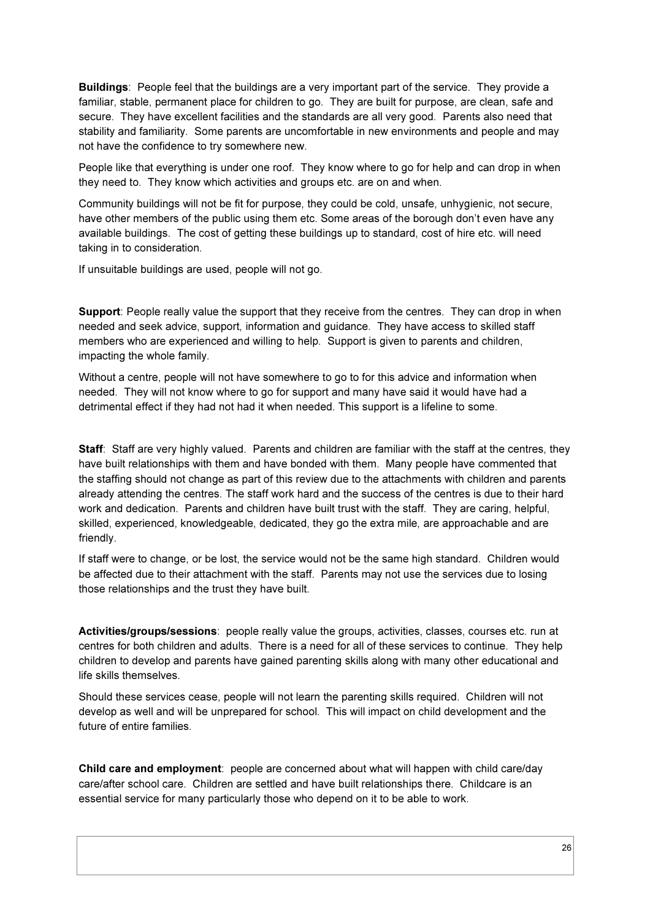Buildings: People feel that the buildings are a very important part of the service. They provide a familiar, stable, permanent place for children to go. They are built for purpose, are clean, safe and secure. They have excellent facilities and the standards are all very good. Parents also need that stability and familiarity. Some parents are uncomfortable in new environments and people and may not have the confidence to try somewhere new.

People like that everything is under one roof. They know where to go for help and can drop in when they need to. They know which activities and groups etc. are on and when.

Community buildings will not be fit for purpose, they could be cold, unsafe, unhygienic, not secure, have other members of the public using them etc. Some areas of the borough don't even have any available buildings. The cost of getting these buildings up to standard, cost of hire etc. will need taking in to consideration.

If unsuitable buildings are used, people will not go.

Support: People really value the support that they receive from the centres. They can drop in when needed and seek advice, support, information and guidance. They have access to skilled staff members who are experienced and willing to help. Support is given to parents and children, impacting the whole family.

Without a centre, people will not have somewhere to go to for this advice and information when needed. They will not know where to go for support and many have said it would have had a detrimental effect if they had not had it when needed. This support is a lifeline to some.

Staff: Staff are very highly valued. Parents and children are familiar with the staff at the centres, they have built relationships with them and have bonded with them. Many people have commented that the staffing should not change as part of this review due to the attachments with children and parents already attending the centres. The staff work hard and the success of the centres is due to their hard work and dedication. Parents and children have built trust with the staff. They are caring, helpful, skilled, experienced, knowledgeable, dedicated, they go the extra mile, are approachable and are friendly.

If staff were to change, or be lost, the service would not be the same high standard. Children would be affected due to their attachment with the staff. Parents may not use the services due to losing those relationships and the trust they have built.

Activities/groups/sessions: people really value the groups, activities, classes, courses etc. run at centres for both children and adults. There is a need for all of these services to continue. They help children to develop and parents have gained parenting skills along with many other educational and life skills themselves.

Should these services cease, people will not learn the parenting skills required. Children will not develop as well and will be unprepared for school. This will impact on child development and the future of entire families.

Child care and employment: people are concerned about what will happen with child care/day care/after school care. Children are settled and have built relationships there. Childcare is an essential service for many particularly those who depend on it to be able to work.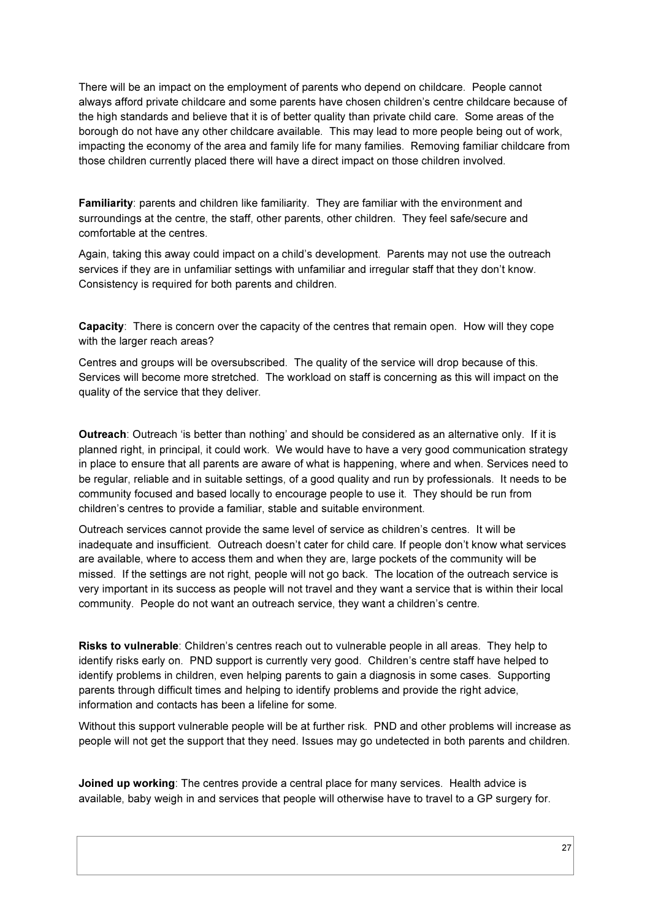There will be an impact on the employment of parents who depend on childcare. People cannot always afford private childcare and some parents have chosen children's centre childcare because of the high standards and believe that it is of better quality than private child care. Some areas of the borough do not have any other childcare available. This may lead to more people being out of work, impacting the economy of the area and family life for many families. Removing familiar childcare from those children currently placed there will have a direct impact on those children involved.

Familiarity: parents and children like familiarity. They are familiar with the environment and surroundings at the centre, the staff, other parents, other children. They feel safe/secure and comfortable at the centres.

Again, taking this away could impact on a child's development. Parents may not use the outreach services if they are in unfamiliar settings with unfamiliar and irregular staff that they don't know. Consistency is required for both parents and children.

Capacity: There is concern over the capacity of the centres that remain open. How will they cope with the larger reach areas?

Centres and groups will be oversubscribed. The quality of the service will drop because of this. Services will become more stretched. The workload on staff is concerning as this will impact on the quality of the service that they deliver.

Outreach: Outreach 'is better than nothing' and should be considered as an alternative only. If it is planned right, in principal, it could work. We would have to have a very good communication strategy in place to ensure that all parents are aware of what is happening, where and when. Services need to be regular, reliable and in suitable settings, of a good quality and run by professionals. It needs to be community focused and based locally to encourage people to use it. They should be run from children's centres to provide a familiar, stable and suitable environment.

Outreach services cannot provide the same level of service as children's centres. It will be inadequate and insufficient. Outreach doesn't cater for child care. If people don't know what services are available, where to access them and when they are, large pockets of the community will be missed. If the settings are not right, people will not go back. The location of the outreach service is very important in its success as people will not travel and they want a service that is within their local community. People do not want an outreach service, they want a children's centre.

Risks to vulnerable: Children's centres reach out to vulnerable people in all areas. They help to identify risks early on. PND support is currently very good. Children's centre staff have helped to identify problems in children, even helping parents to gain a diagnosis in some cases. Supporting parents through difficult times and helping to identify problems and provide the right advice, information and contacts has been a lifeline for some.

Without this support vulnerable people will be at further risk. PND and other problems will increase as people will not get the support that they need. Issues may go undetected in both parents and children.

Joined up working: The centres provide a central place for many services. Health advice is available, baby weigh in and services that people will otherwise have to travel to a GP surgery for.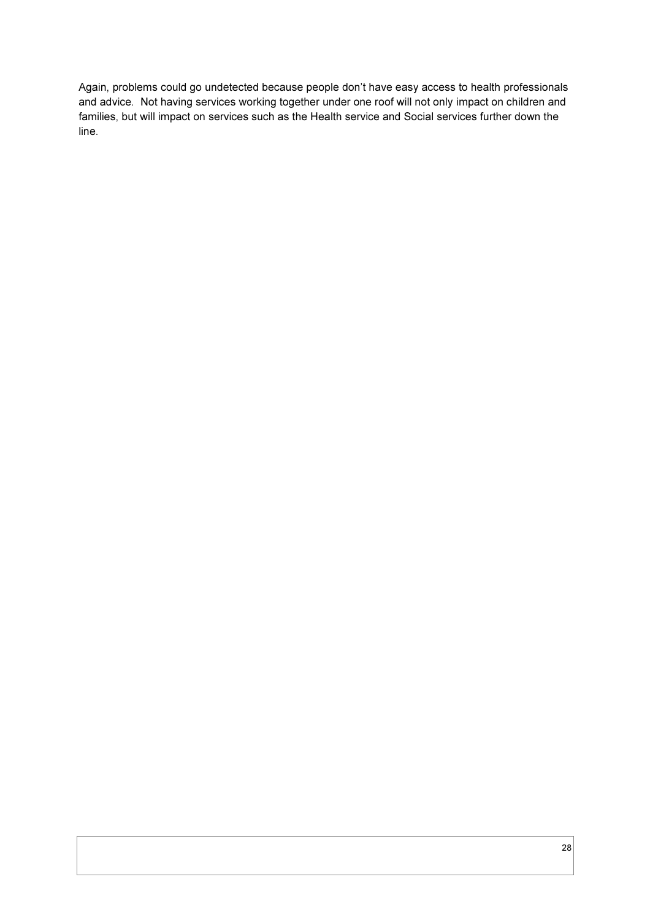Again, problems could go undetected because people don't have easy access to health professionals and advice. Not having services working together under one roof will not only impact on children and families, but will impact on services such as the Health service and Social services further down the line.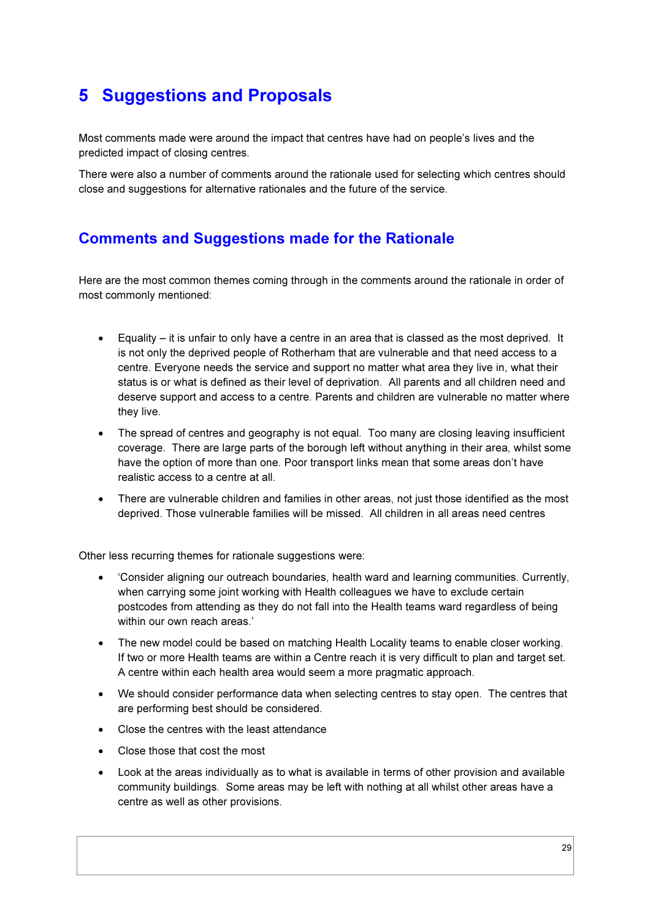## 5 Suggestions and Proposals

Most comments made were around the impact that centres have had on people's lives and the predicted impact of closing centres.

There were also a number of comments around the rationale used for selecting which centres should close and suggestions for alternative rationales and the future of the service.

### Comments and Suggestions made for the Rationale

Here are the most common themes coming through in the comments around the rationale in order of most commonly mentioned:

- Equality it is unfair to only have a centre in an area that is classed as the most deprived. It is not only the deprived people of Rotherham that are vulnerable and that need access to a centre. Everyone needs the service and support no matter what area they live in, what their status is or what is defined as their level of deprivation. All parents and all children need and deserve support and access to a centre. Parents and children are vulnerable no matter where they live.
- The spread of centres and geography is not equal. Too many are closing leaving insufficient coverage. There are large parts of the borough left without anything in their area, whilst some have the option of more than one. Poor transport links mean that some areas don't have realistic access to a centre at all.
- There are vulnerable children and families in other areas, not just those identified as the most deprived. Those vulnerable families will be missed. All children in all areas need centres

Other less recurring themes for rationale suggestions were:

- 'Consider aligning our outreach boundaries, health ward and learning communities. Currently, when carrying some joint working with Health colleagues we have to exclude certain postcodes from attending as they do not fall into the Health teams ward regardless of being within our own reach areas.'
- The new model could be based on matching Health Locality teams to enable closer working. If two or more Health teams are within a Centre reach it is very difficult to plan and target set. A centre within each health area would seem a more pragmatic approach.
- We should consider performance data when selecting centres to stay open. The centres that are performing best should be considered.
- Close the centres with the least attendance
- Close those that cost the most
- Look at the areas individually as to what is available in terms of other provision and available community buildings. Some areas may be left with nothing at all whilst other areas have a centre as well as other provisions.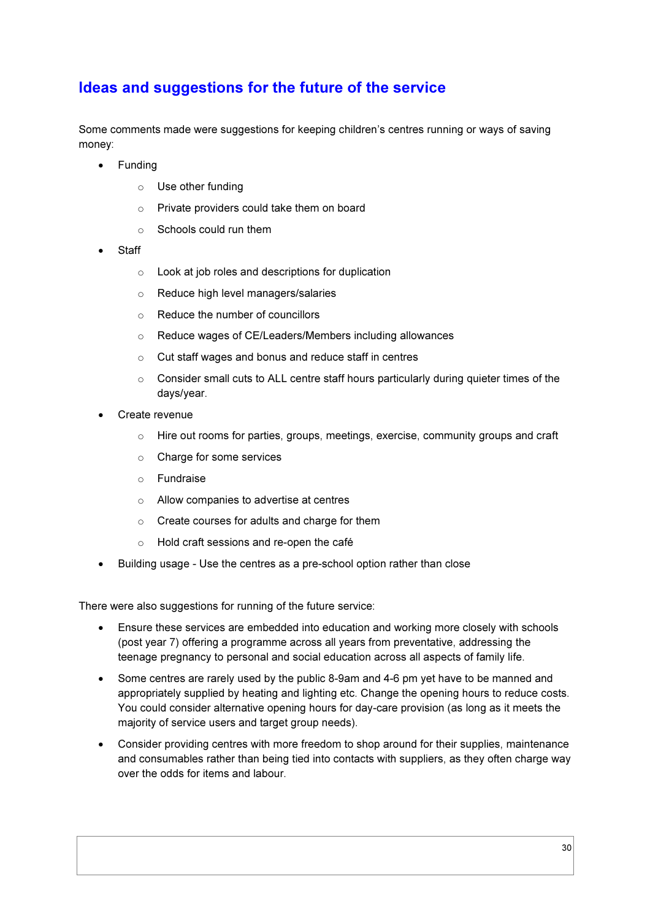### Ideas and suggestions for the future of the service

Some comments made were suggestions for keeping children's centres running or ways of saving money:

- Funding
	- o Use other funding
	- o Private providers could take them on board
	- o Schools could run them
- **Staff** 
	- $\circ$  Look at job roles and descriptions for duplication
	- o Reduce high level managers/salaries
	- o Reduce the number of councillors
	- o Reduce wages of CE/Leaders/Members including allowances
	- o Cut staff wages and bonus and reduce staff in centres
	- $\circ$  Consider small cuts to ALL centre staff hours particularly during quieter times of the days/year.
- Create revenue
	- $\circ$  Hire out rooms for parties, groups, meetings, exercise, community groups and craft
	- o Charge for some services
	- o Fundraise
	- o Allow companies to advertise at centres
	- o Create courses for adults and charge for them
	- o Hold craft sessions and re-open the café
- Building usage Use the centres as a pre-school option rather than close

There were also suggestions for running of the future service:

- Ensure these services are embedded into education and working more closely with schools (post year 7) offering a programme across all years from preventative, addressing the teenage pregnancy to personal and social education across all aspects of family life.
- Some centres are rarely used by the public 8-9am and 4-6 pm yet have to be manned and appropriately supplied by heating and lighting etc. Change the opening hours to reduce costs. You could consider alternative opening hours for day-care provision (as long as it meets the majority of service users and target group needs).
- Consider providing centres with more freedom to shop around for their supplies, maintenance and consumables rather than being tied into contacts with suppliers, as they often charge way over the odds for items and labour.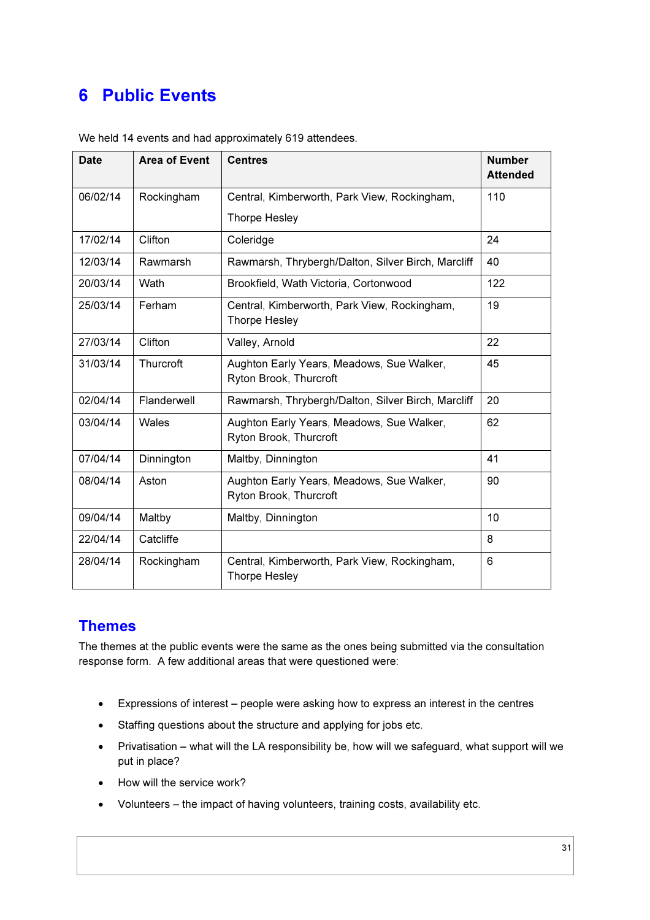## 6 Public Events

| <b>Date</b> | <b>Area of Event</b> | <b>Centres</b>                                                       | <b>Number</b><br><b>Attended</b> |
|-------------|----------------------|----------------------------------------------------------------------|----------------------------------|
| 06/02/14    | Rockingham           | Central, Kimberworth, Park View, Rockingham,                         | 110                              |
|             |                      | Thorpe Hesley                                                        |                                  |
| 17/02/14    | Clifton              | Coleridge                                                            | 24                               |
| 12/03/14    | Rawmarsh             | Rawmarsh, Thrybergh/Dalton, Silver Birch, Marcliff                   | 40                               |
| 20/03/14    | Wath                 | Brookfield, Wath Victoria, Cortonwood                                | 122                              |
| 25/03/14    | Ferham               | Central, Kimberworth, Park View, Rockingham,<br><b>Thorpe Hesley</b> | 19                               |
| 27/03/14    | Clifton              | Valley, Arnold                                                       | 22                               |
| 31/03/14    | Thurcroft            | Aughton Early Years, Meadows, Sue Walker,<br>Ryton Brook, Thurcroft  | 45                               |
| 02/04/14    | Flanderwell          | Rawmarsh, Thrybergh/Dalton, Silver Birch, Marcliff                   | 20                               |
| 03/04/14    | Wales                | Aughton Early Years, Meadows, Sue Walker,<br>Ryton Brook, Thurcroft  | 62                               |
| 07/04/14    | Dinnington           | Maltby, Dinnington                                                   | 41                               |
| 08/04/14    | Aston                | Aughton Early Years, Meadows, Sue Walker,<br>Ryton Brook, Thurcroft  | 90                               |
| 09/04/14    | Maltby               | Maltby, Dinnington                                                   | 10                               |
| 22/04/14    | Catcliffe            |                                                                      | 8                                |
| 28/04/14    | Rockingham           | Central, Kimberworth, Park View, Rockingham,<br>Thorpe Hesley        | 6                                |

We held 14 events and had approximately 619 attendees.

### Themes

The themes at the public events were the same as the ones being submitted via the consultation response form. A few additional areas that were questioned were:

- Expressions of interest people were asking how to express an interest in the centres
- Staffing questions about the structure and applying for jobs etc.
- Privatisation what will the LA responsibility be, how will we safeguard, what support will we put in place?
- How will the service work?
- Volunteers the impact of having volunteers, training costs, availability etc.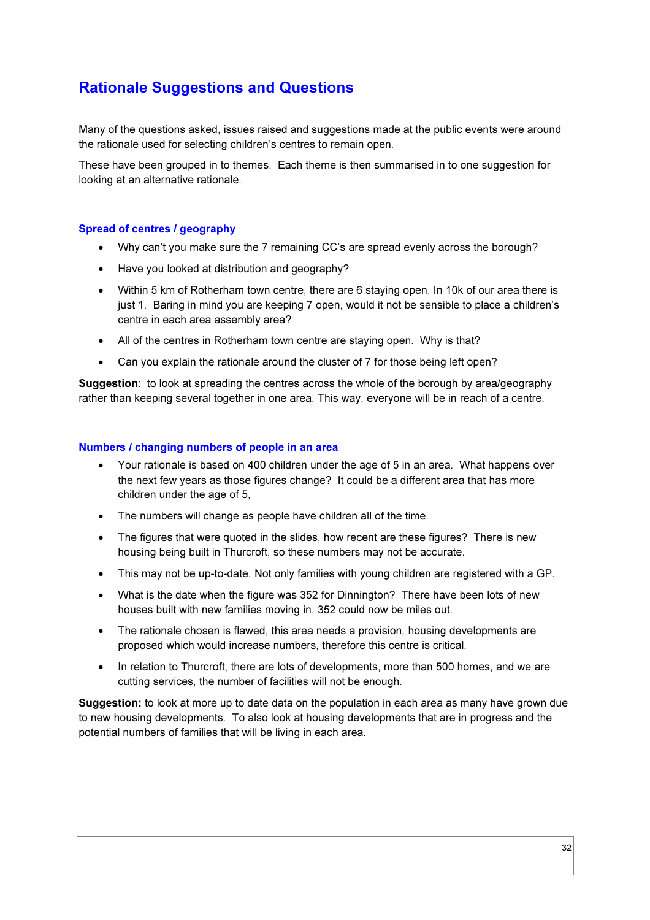### Rationale Suggestions and Questions

Many of the questions asked, issues raised and suggestions made at the public events were around the rationale used for selecting children's centres to remain open.

These have been grouped in to themes. Each theme is then summarised in to one suggestion for looking at an alternative rationale.

#### Spread of centres / geography

- Why can't you make sure the 7 remaining CC's are spread evenly across the borough?
- Have you looked at distribution and geography?
- Within 5 km of Rotherham town centre, there are 6 staying open. In 10k of our area there is just 1. Baring in mind you are keeping 7 open, would it not be sensible to place a children's centre in each area assembly area?
- All of the centres in Rotherham town centre are staying open. Why is that?
- Can you explain the rationale around the cluster of 7 for those being left open?

**Suggestion:** to look at spreading the centres across the whole of the borough by area/geography rather than keeping several together in one area. This way, everyone will be in reach of a centre.

#### Numbers / changing numbers of people in an area

- Your rationale is based on 400 children under the age of 5 in an area. What happens over the next few years as those figures change? It could be a different area that has more children under the age of 5,
- The numbers will change as people have children all of the time.
- The figures that were quoted in the slides, how recent are these figures? There is new housing being built in Thurcroft, so these numbers may not be accurate.
- This may not be up-to-date. Not only families with young children are registered with a GP.
- What is the date when the figure was 352 for Dinnington? There have been lots of new houses built with new families moving in, 352 could now be miles out.
- The rationale chosen is flawed, this area needs a provision, housing developments are proposed which would increase numbers, therefore this centre is critical.
- In relation to Thurcroft, there are lots of developments, more than 500 homes, and we are cutting services, the number of facilities will not be enough.

Suggestion: to look at more up to date data on the population in each area as many have grown due to new housing developments. To also look at housing developments that are in progress and the potential numbers of families that will be living in each area.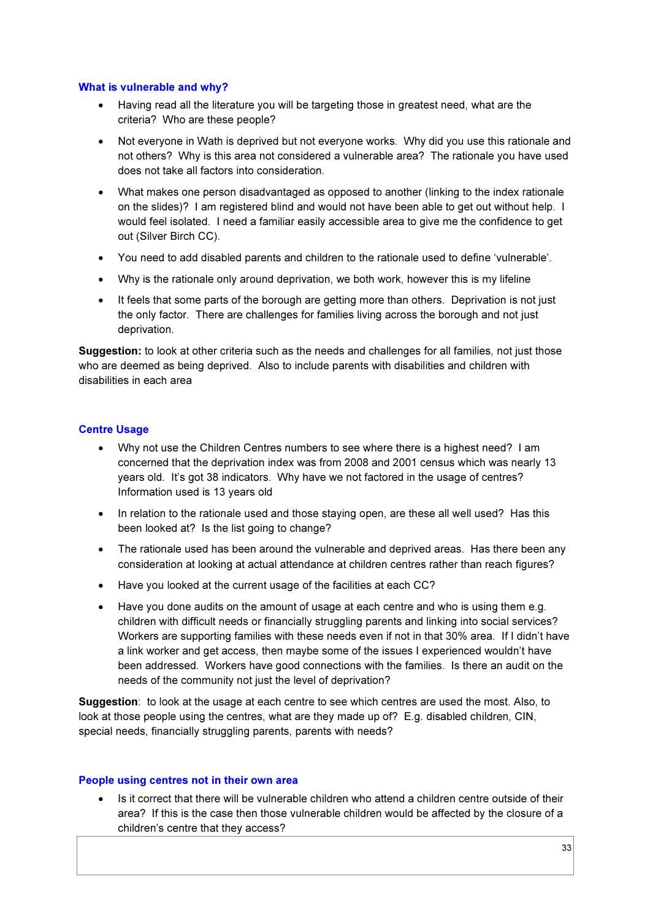#### What is vulnerable and why?

- Having read all the literature you will be targeting those in greatest need, what are the criteria? Who are these people?
- Not everyone in Wath is deprived but not everyone works. Why did you use this rationale and not others? Why is this area not considered a vulnerable area? The rationale you have used does not take all factors into consideration.
- What makes one person disadvantaged as opposed to another (linking to the index rationale on the slides)? I am registered blind and would not have been able to get out without help. I would feel isolated. I need a familiar easily accessible area to give me the confidence to get out (Silver Birch CC).
- You need to add disabled parents and children to the rationale used to define 'vulnerable'.
- Why is the rationale only around deprivation, we both work, however this is my lifeline
- It feels that some parts of the borough are getting more than others. Deprivation is not just the only factor. There are challenges for families living across the borough and not just deprivation.

Suggestion: to look at other criteria such as the needs and challenges for all families, not just those who are deemed as being deprived. Also to include parents with disabilities and children with disabilities in each area

#### Centre Usage

- Why not use the Children Centres numbers to see where there is a highest need? I am concerned that the deprivation index was from 2008 and 2001 census which was nearly 13 years old. It's got 38 indicators. Why have we not factored in the usage of centres? Information used is 13 years old
- In relation to the rationale used and those staying open, are these all well used? Has this been looked at? Is the list going to change?
- The rationale used has been around the vulnerable and deprived areas. Has there been any consideration at looking at actual attendance at children centres rather than reach figures?
- Have you looked at the current usage of the facilities at each CC?
- Have you done audits on the amount of usage at each centre and who is using them e.g. children with difficult needs or financially struggling parents and linking into social services? Workers are supporting families with these needs even if not in that 30% area. If I didn't have a link worker and get access, then maybe some of the issues I experienced wouldn't have been addressed. Workers have good connections with the families. Is there an audit on the needs of the community not just the level of deprivation?

Suggestion: to look at the usage at each centre to see which centres are used the most. Also, to look at those people using the centres, what are they made up of? E.g. disabled children, CIN, special needs, financially struggling parents, parents with needs?

#### People using centres not in their own area

• Is it correct that there will be vulnerable children who attend a children centre outside of their area? If this is the case then those vulnerable children would be affected by the closure of a children's centre that they access?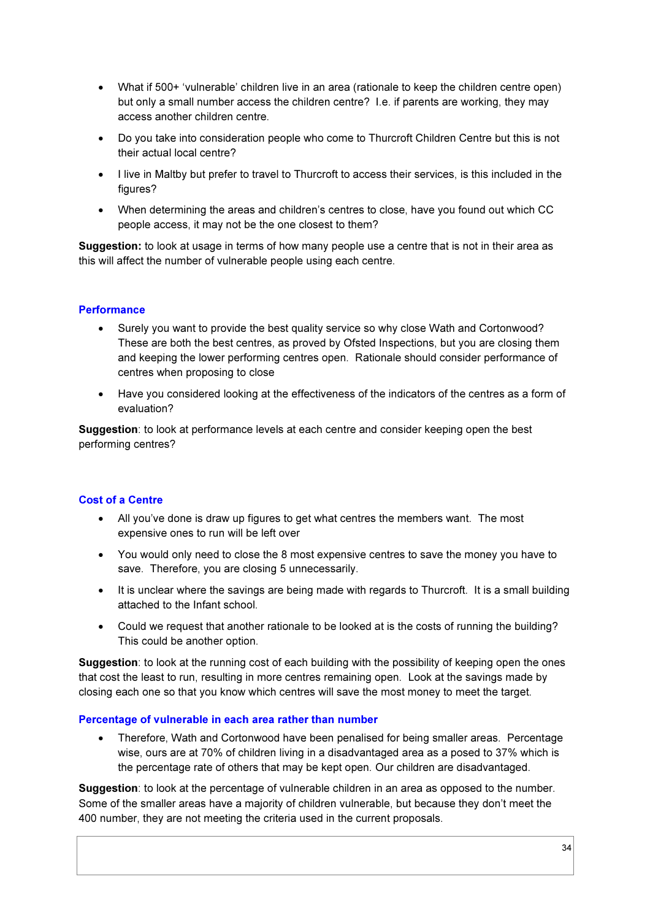- What if 500+ 'vulnerable' children live in an area (rationale to keep the children centre open) but only a small number access the children centre? I.e. if parents are working, they may access another children centre.
- Do you take into consideration people who come to Thurcroft Children Centre but this is not their actual local centre?
- I live in Maltby but prefer to travel to Thurcroft to access their services, is this included in the figures?
- When determining the areas and children's centres to close, have you found out which CC people access, it may not be the one closest to them?

Suggestion: to look at usage in terms of how many people use a centre that is not in their area as this will affect the number of vulnerable people using each centre.

### **Performance**

- Surely you want to provide the best quality service so why close Wath and Cortonwood? These are both the best centres, as proved by Ofsted Inspections, but you are closing them and keeping the lower performing centres open. Rationale should consider performance of centres when proposing to close
- Have you considered looking at the effectiveness of the indicators of the centres as a form of evaluation?

Suggestion: to look at performance levels at each centre and consider keeping open the best performing centres?

#### Cost of a Centre

- All you've done is draw up figures to get what centres the members want. The most expensive ones to run will be left over
- You would only need to close the 8 most expensive centres to save the money you have to save. Therefore, you are closing 5 unnecessarily.
- It is unclear where the savings are being made with regards to Thurcroft. It is a small building attached to the Infant school.
- Could we request that another rationale to be looked at is the costs of running the building? This could be another option.

Suggestion: to look at the running cost of each building with the possibility of keeping open the ones that cost the least to run, resulting in more centres remaining open. Look at the savings made by closing each one so that you know which centres will save the most money to meet the target.

#### Percentage of vulnerable in each area rather than number

• Therefore, Wath and Cortonwood have been penalised for being smaller areas. Percentage wise, ours are at 70% of children living in a disadvantaged area as a posed to 37% which is the percentage rate of others that may be kept open. Our children are disadvantaged.

Suggestion: to look at the percentage of vulnerable children in an area as opposed to the number. Some of the smaller areas have a majority of children vulnerable, but because they don't meet the 400 number, they are not meeting the criteria used in the current proposals.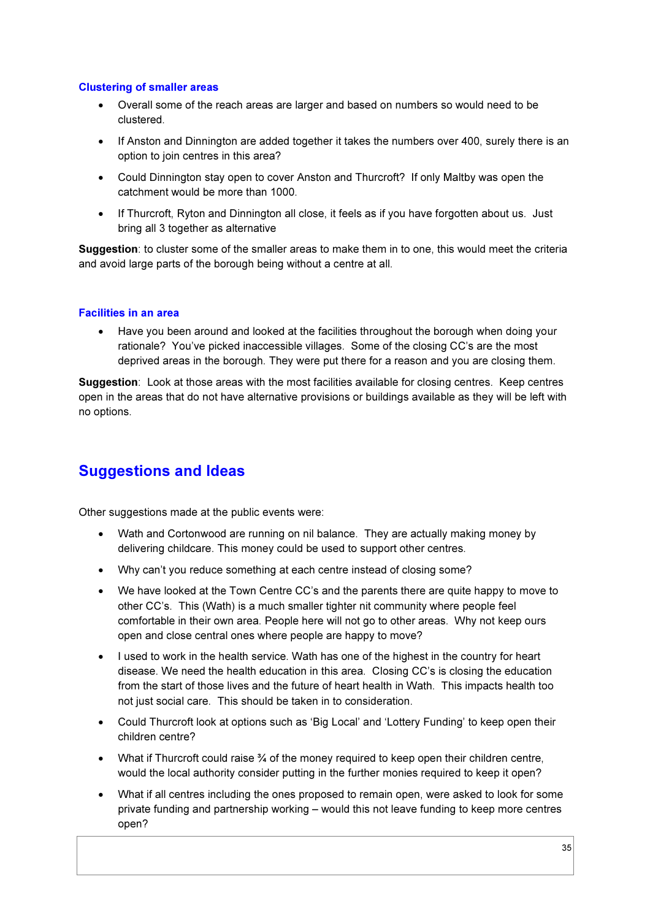### Clustering of smaller areas

- Overall some of the reach areas are larger and based on numbers so would need to be clustered.
- If Anston and Dinnington are added together it takes the numbers over 400, surely there is an option to join centres in this area?
- Could Dinnington stay open to cover Anston and Thurcroft? If only Maltby was open the catchment would be more than 1000.
- If Thurcroft, Ryton and Dinnington all close, it feels as if you have forgotten about us. Just bring all 3 together as alternative

Suggestion: to cluster some of the smaller areas to make them in to one, this would meet the criteria and avoid large parts of the borough being without a centre at all.

### Facilities in an area

• Have you been around and looked at the facilities throughout the borough when doing your rationale? You've picked inaccessible villages. Some of the closing CC's are the most deprived areas in the borough. They were put there for a reason and you are closing them.

Suggestion: Look at those areas with the most facilities available for closing centres. Keep centres open in the areas that do not have alternative provisions or buildings available as they will be left with no options.

### Suggestions and Ideas

Other suggestions made at the public events were:

- Wath and Cortonwood are running on nil balance. They are actually making money by delivering childcare. This money could be used to support other centres.
- Why can't you reduce something at each centre instead of closing some?
- We have looked at the Town Centre CC's and the parents there are quite happy to move to other CC's. This (Wath) is a much smaller tighter nit community where people feel comfortable in their own area. People here will not go to other areas. Why not keep ours open and close central ones where people are happy to move?
- I used to work in the health service. Wath has one of the highest in the country for heart disease. We need the health education in this area. Closing CC's is closing the education from the start of those lives and the future of heart health in Wath. This impacts health too not just social care. This should be taken in to consideration.
- Could Thurcroft look at options such as 'Big Local' and 'Lottery Funding' to keep open their children centre?
- What if Thurcroft could raise 3⁄4 of the money required to keep open their children centre, would the local authority consider putting in the further monies required to keep it open?
- What if all centres including the ones proposed to remain open, were asked to look for some private funding and partnership working – would this not leave funding to keep more centres open?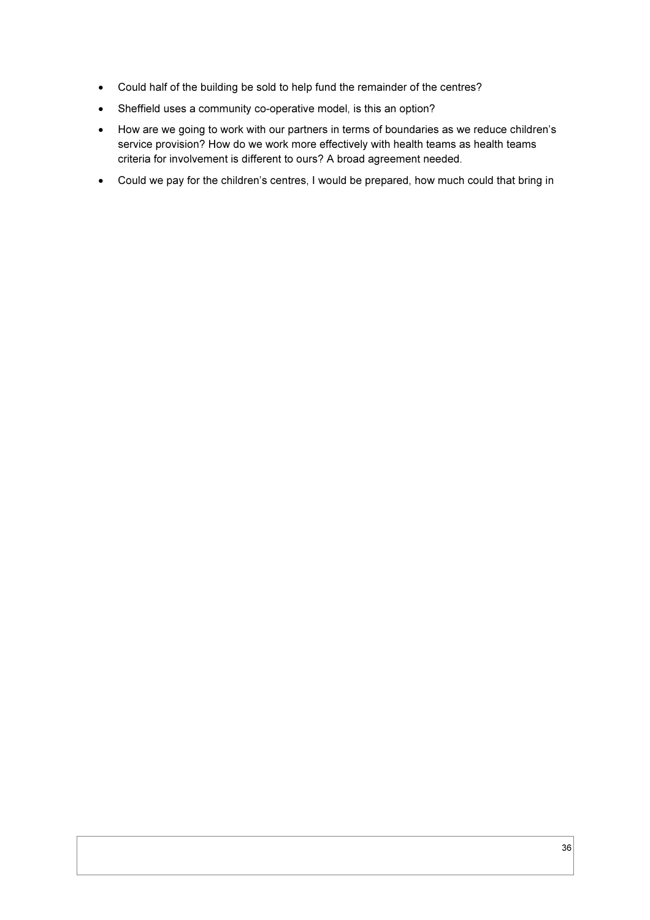- Could half of the building be sold to help fund the remainder of the centres?
- Sheffield uses a community co-operative model, is this an option?
- How are we going to work with our partners in terms of boundaries as we reduce children's service provision? How do we work more effectively with health teams as health teams criteria for involvement is different to ours? A broad agreement needed.
- Could we pay for the children's centres, I would be prepared, how much could that bring in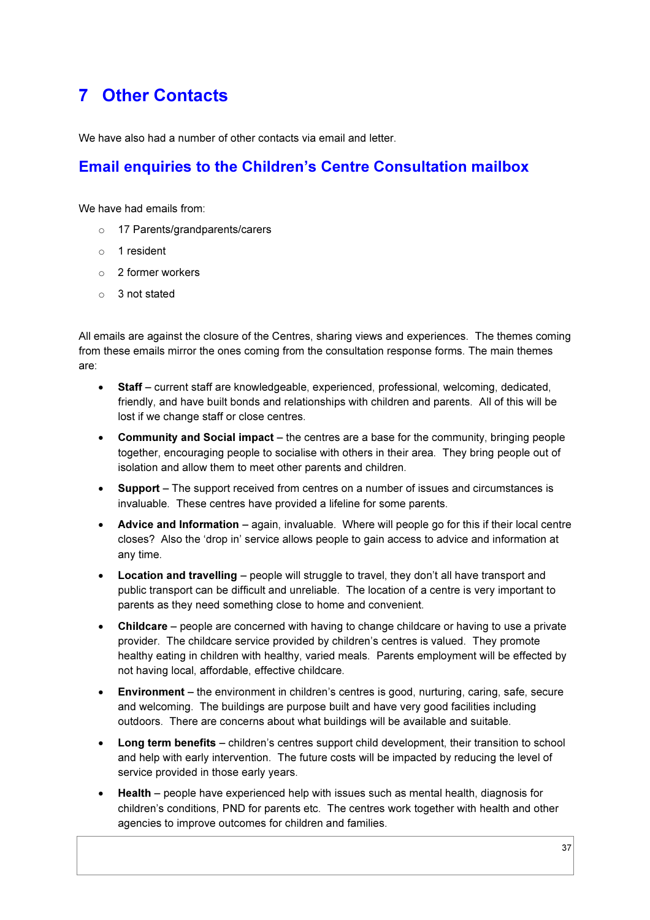## 7 Other Contacts

We have also had a number of other contacts via email and letter.

### Email enquiries to the Children's Centre Consultation mailbox

We have had emails from:

- o 17 Parents/grandparents/carers
- o 1 resident
- o 2 former workers
- o 3 not stated

All emails are against the closure of the Centres, sharing views and experiences. The themes coming from these emails mirror the ones coming from the consultation response forms. The main themes are:

- Staff current staff are knowledgeable, experienced, professional, welcoming, dedicated, friendly, and have built bonds and relationships with children and parents. All of this will be lost if we change staff or close centres.
- Community and Social impact the centres are a base for the community, bringing people together, encouraging people to socialise with others in their area. They bring people out of isolation and allow them to meet other parents and children.
- Support The support received from centres on a number of issues and circumstances is invaluable. These centres have provided a lifeline for some parents.
- Advice and Information again, invaluable. Where will people go for this if their local centre closes? Also the 'drop in' service allows people to gain access to advice and information at any time.
- **Location and travelling** people will struggle to travel, they don't all have transport and public transport can be difficult and unreliable. The location of a centre is very important to parents as they need something close to home and convenient.
- Childcare people are concerned with having to change childcare or having to use a private provider. The childcare service provided by children's centres is valued. They promote healthy eating in children with healthy, varied meals. Parents employment will be effected by not having local, affordable, effective childcare.
- Environment the environment in children's centres is good, nurturing, caring, safe, secure and welcoming. The buildings are purpose built and have very good facilities including outdoors. There are concerns about what buildings will be available and suitable.
- Long term benefits children's centres support child development, their transition to school and help with early intervention. The future costs will be impacted by reducing the level of service provided in those early years.
- Health people have experienced help with issues such as mental health, diagnosis for children's conditions, PND for parents etc. The centres work together with health and other agencies to improve outcomes for children and families.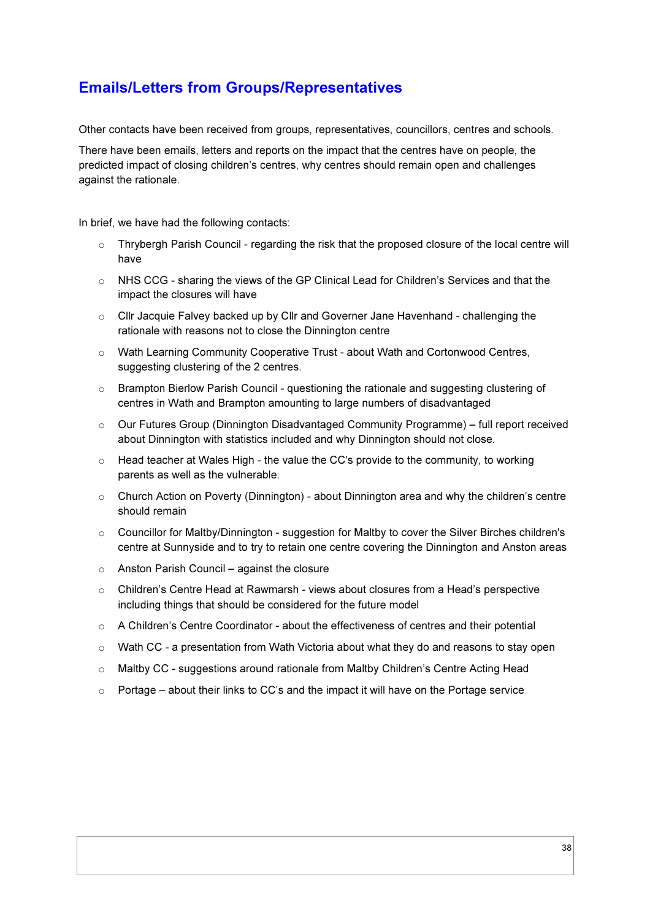### Emails/Letters from Groups/Representatives

Other contacts have been received from groups, representatives, councillors, centres and schools.

There have been emails, letters and reports on the impact that the centres have on people, the predicted impact of closing children's centres, why centres should remain open and challenges against the rationale.

In brief, we have had the following contacts:

- o Thrybergh Parish Council regarding the risk that the proposed closure of the local centre will have
- o NHS CCG sharing the views of the GP Clinical Lead for Children's Services and that the impact the closures will have
- o Cllr Jacquie Falvey backed up by Cllr and Governer Jane Havenhand challenging the rationale with reasons not to close the Dinnington centre
- o Wath Learning Community Cooperative Trust about Wath and Cortonwood Centres, suggesting clustering of the 2 centres.
- o Brampton Bierlow Parish Council questioning the rationale and suggesting clustering of centres in Wath and Brampton amounting to large numbers of disadvantaged
- o Our Futures Group (Dinnington Disadvantaged Community Programme) full report received about Dinnington with statistics included and why Dinnington should not close.
- o Head teacher at Wales High the value the CC's provide to the community, to working parents as well as the vulnerable.
- $\circ$  Church Action on Poverty (Dinnington) about Dinnington area and why the children's centre should remain
- $\circ$  Councillor for Maltby/Dinnington suggestion for Maltby to cover the Silver Birches children's centre at Sunnyside and to try to retain one centre covering the Dinnington and Anston areas
- $\circ$  Anston Parish Council against the closure
- $\circ$  Children's Centre Head at Rawmarsh views about closures from a Head's perspective including things that should be considered for the future model
- $\circ$  A Children's Centre Coordinator about the effectiveness of centres and their potential
- o Wath CC a presentation from Wath Victoria about what they do and reasons to stay open
- o Maltby CC suggestions around rationale from Maltby Children's Centre Acting Head
- $\circ$  Portage about their links to CC's and the impact it will have on the Portage service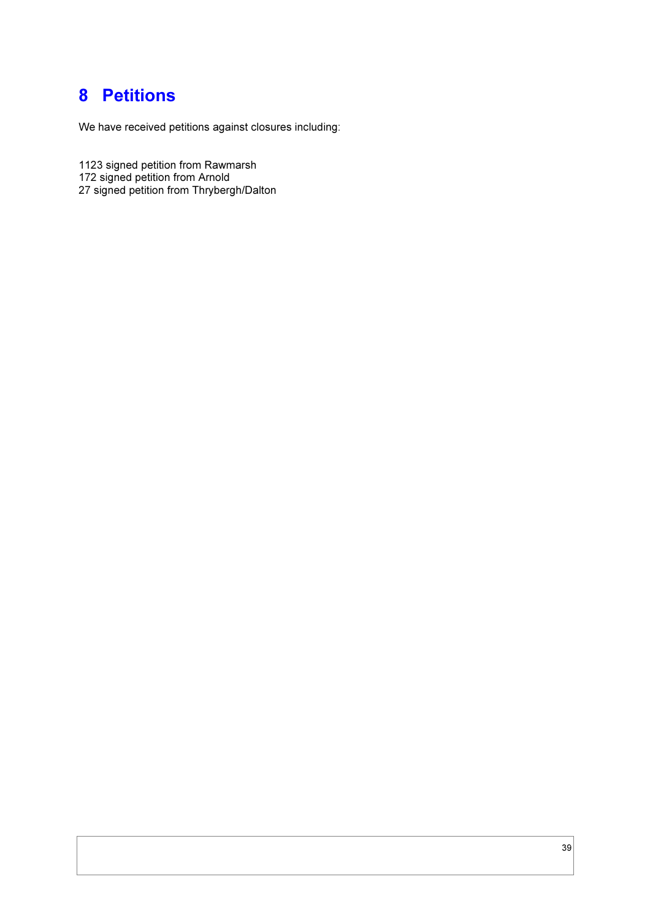## 8 Petitions

We have received petitions against closures including:

1123 signed petition from Rawmarsh

172 signed petition from Arnold

27 signed petition from Thrybergh/Dalton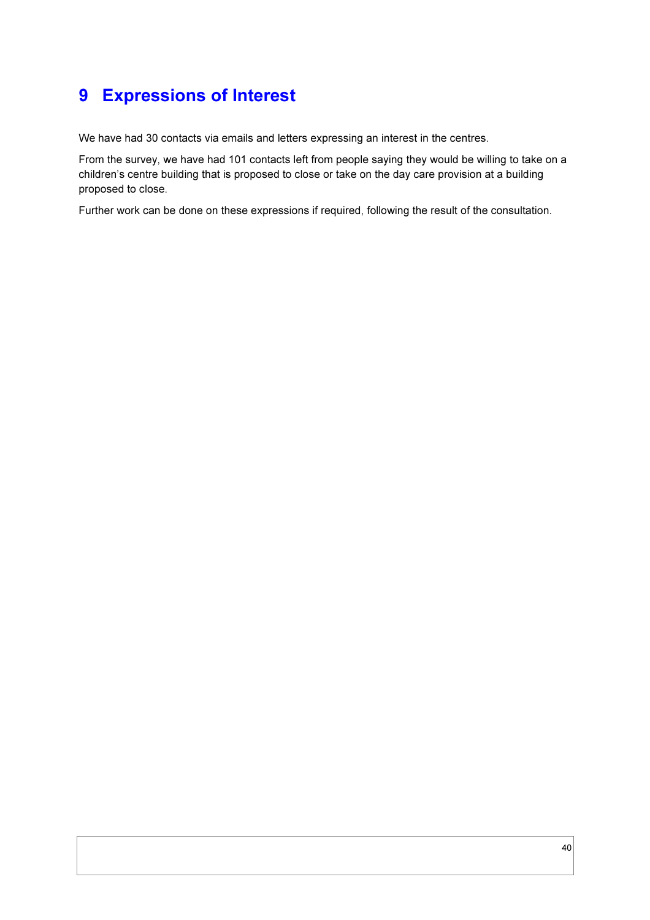## 9 Expressions of Interest

We have had 30 contacts via emails and letters expressing an interest in the centres.

From the survey, we have had 101 contacts left from people saying they would be willing to take on a children's centre building that is proposed to close or take on the day care provision at a building proposed to close.

Further work can be done on these expressions if required, following the result of the consultation.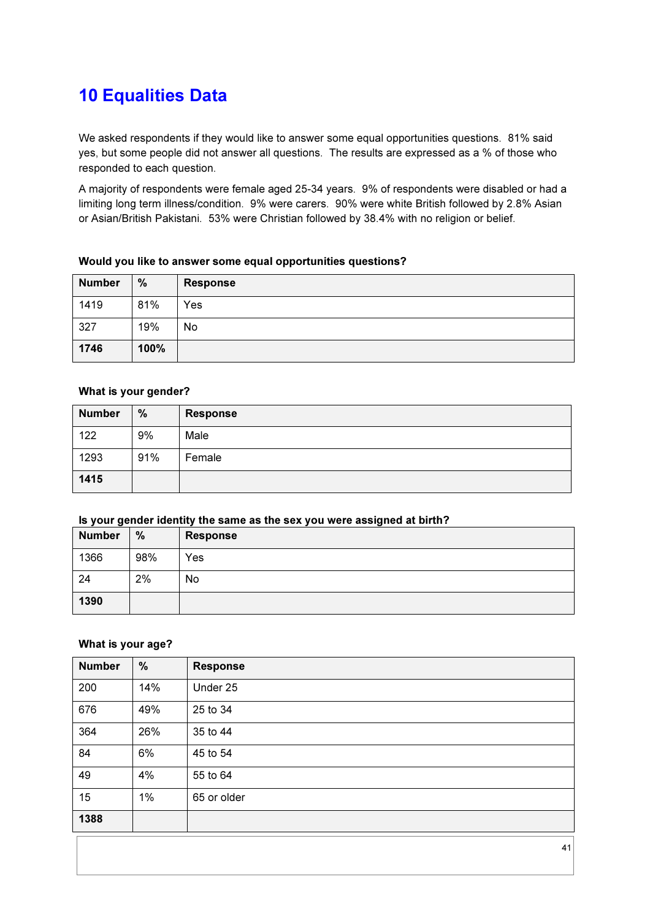## 10 Equalities Data

We asked respondents if they would like to answer some equal opportunities questions. 81% said yes, but some people did not answer all questions. The results are expressed as a % of those who responded to each question.

A majority of respondents were female aged 25-34 years. 9% of respondents were disabled or had a limiting long term illness/condition. 9% were carers. 90% were white British followed by 2.8% Asian or Asian/British Pakistani. 53% were Christian followed by 38.4% with no religion or belief.

| <b>Number</b> | %    | <b>Response</b> |
|---------------|------|-----------------|
| 1419          | 81%  | Yes             |
| 327           | 19%  | No              |
| 1746          | 100% |                 |

#### Would you like to answer some equal opportunities questions?

#### What is your gender?

| <b>Number</b> | %   | <b>Response</b> |
|---------------|-----|-----------------|
| 122           | 9%  | Male            |
| 1293          | 91% | Female          |
| 1415          |     |                 |

#### Is your gender identity the same as the sex you were assigned at birth?

| <b>Number</b> | $\%$ | <b>Response</b> |
|---------------|------|-----------------|
| 1366          | 98%  | Yes             |
| 24            | 2%   | No.             |
| 1390          |      |                 |

#### What is your age?

| <b>Number</b> | %   | <b>Response</b> |
|---------------|-----|-----------------|
| 200           | 14% | Under 25        |
| 676           | 49% | 25 to 34        |
| 364           | 26% | 35 to 44        |
| 84            | 6%  | 45 to 54        |
| 49            | 4%  | 55 to 64        |
| 15            | 1%  | 65 or older     |
| 1388          |     |                 |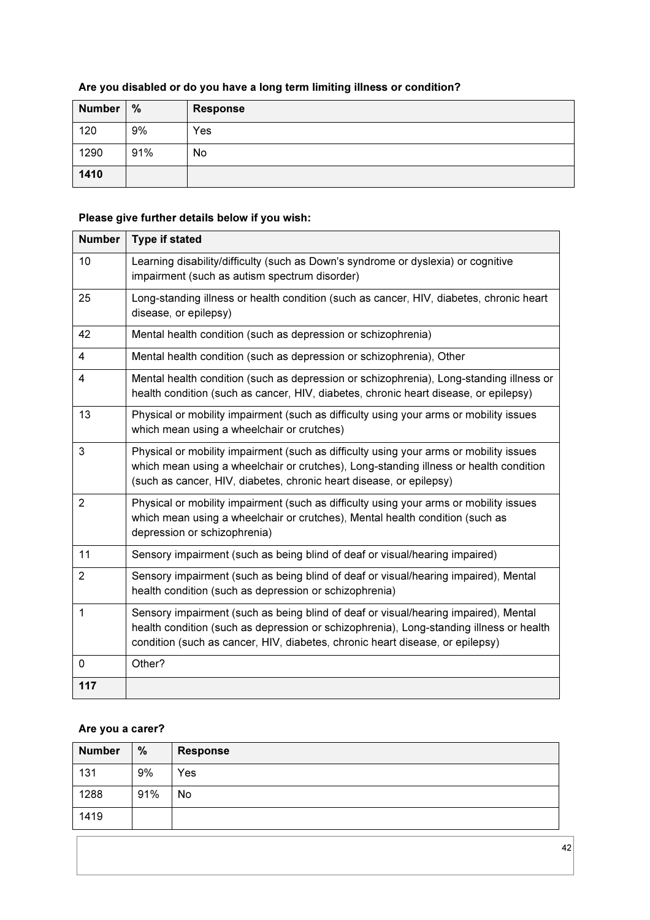### Are you disabled or do you have a long term limiting illness or condition?

| <b>Number</b> | %   | <b>Response</b> |
|---------------|-----|-----------------|
| 120           | 9%  | Yes             |
| 1290          | 91% | No              |
| 1410          |     |                 |

### Please give further details below if you wish:

| <b>Number</b>  | <b>Type if stated</b>                                                                                                                                                                                                                                           |
|----------------|-----------------------------------------------------------------------------------------------------------------------------------------------------------------------------------------------------------------------------------------------------------------|
| 10             | Learning disability/difficulty (such as Down's syndrome or dyslexia) or cognitive<br>impairment (such as autism spectrum disorder)                                                                                                                              |
| 25             | Long-standing illness or health condition (such as cancer, HIV, diabetes, chronic heart<br>disease, or epilepsy)                                                                                                                                                |
| 42             | Mental health condition (such as depression or schizophrenia)                                                                                                                                                                                                   |
| 4              | Mental health condition (such as depression or schizophrenia), Other                                                                                                                                                                                            |
| 4              | Mental health condition (such as depression or schizophrenia), Long-standing illness or<br>health condition (such as cancer, HIV, diabetes, chronic heart disease, or epilepsy)                                                                                 |
| 13             | Physical or mobility impairment (such as difficulty using your arms or mobility issues<br>which mean using a wheelchair or crutches)                                                                                                                            |
| 3              | Physical or mobility impairment (such as difficulty using your arms or mobility issues<br>which mean using a wheelchair or crutches), Long-standing illness or health condition<br>(such as cancer, HIV, diabetes, chronic heart disease, or epilepsy)          |
| 2              | Physical or mobility impairment (such as difficulty using your arms or mobility issues<br>which mean using a wheelchair or crutches), Mental health condition (such as<br>depression or schizophrenia)                                                          |
| 11             | Sensory impairment (such as being blind of deaf or visual/hearing impaired)                                                                                                                                                                                     |
| $\overline{2}$ | Sensory impairment (such as being blind of deaf or visual/hearing impaired), Mental<br>health condition (such as depression or schizophrenia)                                                                                                                   |
| 1              | Sensory impairment (such as being blind of deaf or visual/hearing impaired), Mental<br>health condition (such as depression or schizophrenia), Long-standing illness or health<br>condition (such as cancer, HIV, diabetes, chronic heart disease, or epilepsy) |
| 0              | Other?                                                                                                                                                                                                                                                          |
| 117            |                                                                                                                                                                                                                                                                 |

### Are you a carer?

| <b>Number</b> | %   | <b>Response</b> |
|---------------|-----|-----------------|
| 131           | 9%  | Yes             |
| 1288          | 91% | No              |
| 1419          |     |                 |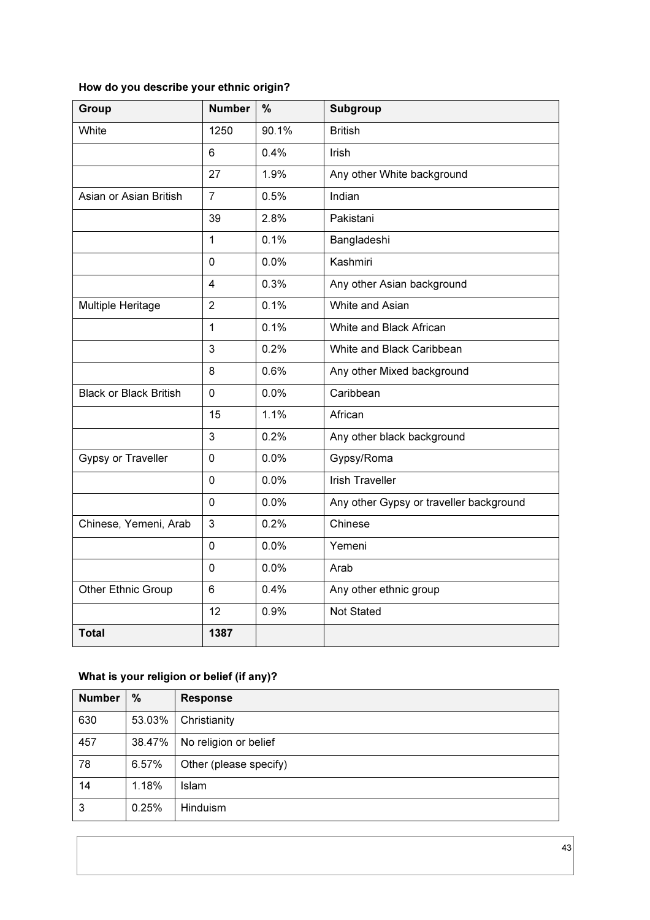| How do you describe your ethnic origin? |  |
|-----------------------------------------|--|
|-----------------------------------------|--|

| <b>Group</b>                  | <b>Number</b>  | $\frac{0}{0}$ | <b>Subgroup</b>                         |
|-------------------------------|----------------|---------------|-----------------------------------------|
| White                         | 1250           | 90.1%         | <b>British</b>                          |
|                               | 6              | 0.4%          | <b>Irish</b>                            |
|                               | 27             | 1.9%          | Any other White background              |
| Asian or Asian British        | $\overline{7}$ | 0.5%          | Indian                                  |
|                               | 39             | 2.8%          | Pakistani                               |
|                               | 1              | 0.1%          | Bangladeshi                             |
|                               | $\mathbf 0$    | 0.0%          | Kashmiri                                |
|                               | $\overline{4}$ | 0.3%          | Any other Asian background              |
| Multiple Heritage             | $\overline{2}$ | 0.1%          | White and Asian                         |
|                               | 1              | 0.1%          | White and Black African                 |
|                               | 3              | 0.2%          | White and Black Caribbean               |
|                               | 8              | 0.6%          | Any other Mixed background              |
| <b>Black or Black British</b> | $\mathbf 0$    | 0.0%          | Caribbean                               |
|                               | 15             | 1.1%          | African                                 |
|                               | 3              | 0.2%          | Any other black background              |
| Gypsy or Traveller            | 0              | 0.0%          | Gypsy/Roma                              |
|                               | 0              | 0.0%          | <b>Irish Traveller</b>                  |
|                               | 0              | 0.0%          | Any other Gypsy or traveller background |
| Chinese, Yemeni, Arab         | 3              | 0.2%          | Chinese                                 |
|                               | 0              | 0.0%          | Yemeni                                  |
|                               | 0              | 0.0%          | Arab                                    |
| <b>Other Ethnic Group</b>     | 6              | 0.4%          | Any other ethnic group                  |
|                               | 12             | 0.9%          | Not Stated                              |
| <b>Total</b>                  | 1387           |               |                                         |

### What is your religion or belief (if any)?

| <b>Number</b> | %      | <b>Response</b>        |
|---------------|--------|------------------------|
| 630           | 53.03% | Christianity           |
| 457           | 38.47% | No religion or belief  |
| 78            | 6.57%  | Other (please specify) |
| 14            | 1.18%  | Islam                  |
| 3             | 0.25%  | <b>Hinduism</b>        |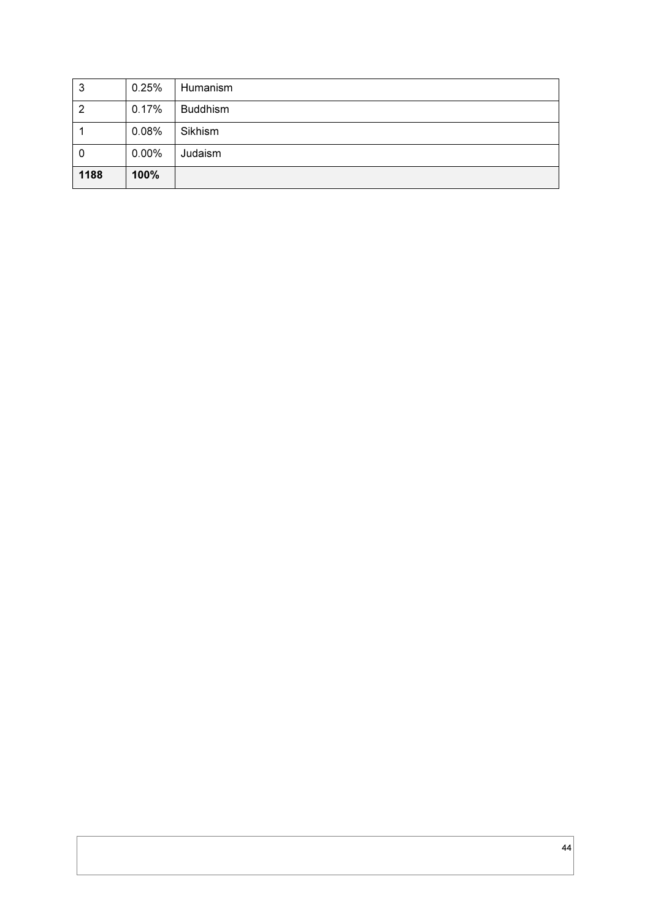| 3    | 0.25%    | Humanism        |
|------|----------|-----------------|
| 2    | 0.17%    | <b>Buddhism</b> |
|      | 0.08%    | Sikhism         |
| 0    | $0.00\%$ | Judaism         |
| 1188 | 100%     |                 |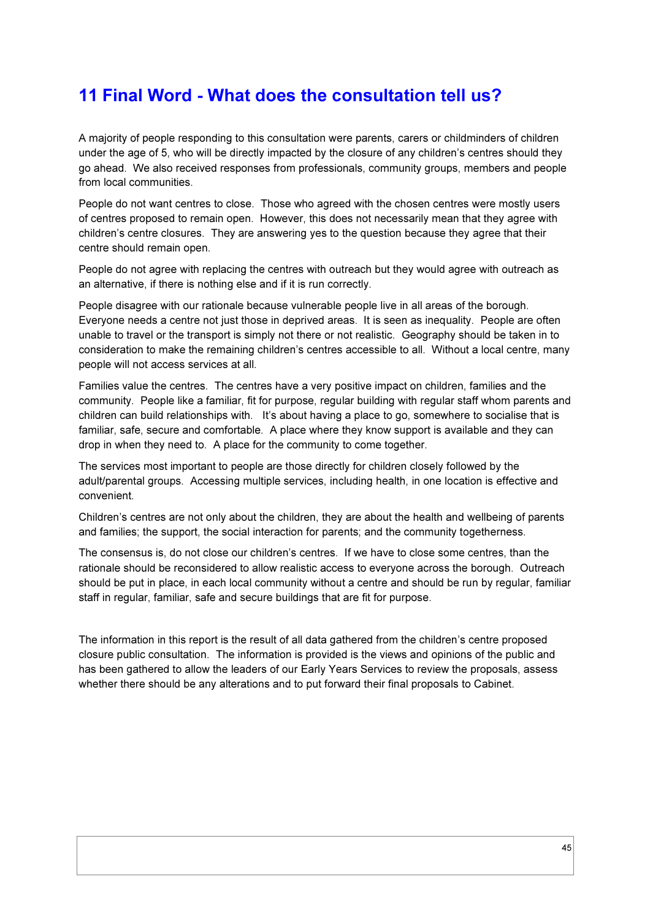## 11 Final Word - What does the consultation tell us?

A majority of people responding to this consultation were parents, carers or childminders of children under the age of 5, who will be directly impacted by the closure of any children's centres should they go ahead. We also received responses from professionals, community groups, members and people from local communities.

People do not want centres to close. Those who agreed with the chosen centres were mostly users of centres proposed to remain open. However, this does not necessarily mean that they agree with children's centre closures. They are answering yes to the question because they agree that their centre should remain open.

People do not agree with replacing the centres with outreach but they would agree with outreach as an alternative, if there is nothing else and if it is run correctly.

People disagree with our rationale because vulnerable people live in all areas of the borough. Everyone needs a centre not just those in deprived areas. It is seen as inequality. People are often unable to travel or the transport is simply not there or not realistic. Geography should be taken in to consideration to make the remaining children's centres accessible to all. Without a local centre, many people will not access services at all.

Families value the centres. The centres have a very positive impact on children, families and the community. People like a familiar, fit for purpose, regular building with regular staff whom parents and children can build relationships with. It's about having a place to go, somewhere to socialise that is familiar, safe, secure and comfortable. A place where they know support is available and they can drop in when they need to. A place for the community to come together.

The services most important to people are those directly for children closely followed by the adult/parental groups. Accessing multiple services, including health, in one location is effective and convenient.

Children's centres are not only about the children, they are about the health and wellbeing of parents and families; the support, the social interaction for parents; and the community togetherness.

The consensus is, do not close our children's centres. If we have to close some centres, than the rationale should be reconsidered to allow realistic access to everyone across the borough. Outreach should be put in place, in each local community without a centre and should be run by regular, familiar staff in regular, familiar, safe and secure buildings that are fit for purpose.

The information in this report is the result of all data gathered from the children's centre proposed closure public consultation. The information is provided is the views and opinions of the public and has been gathered to allow the leaders of our Early Years Services to review the proposals, assess whether there should be any alterations and to put forward their final proposals to Cabinet.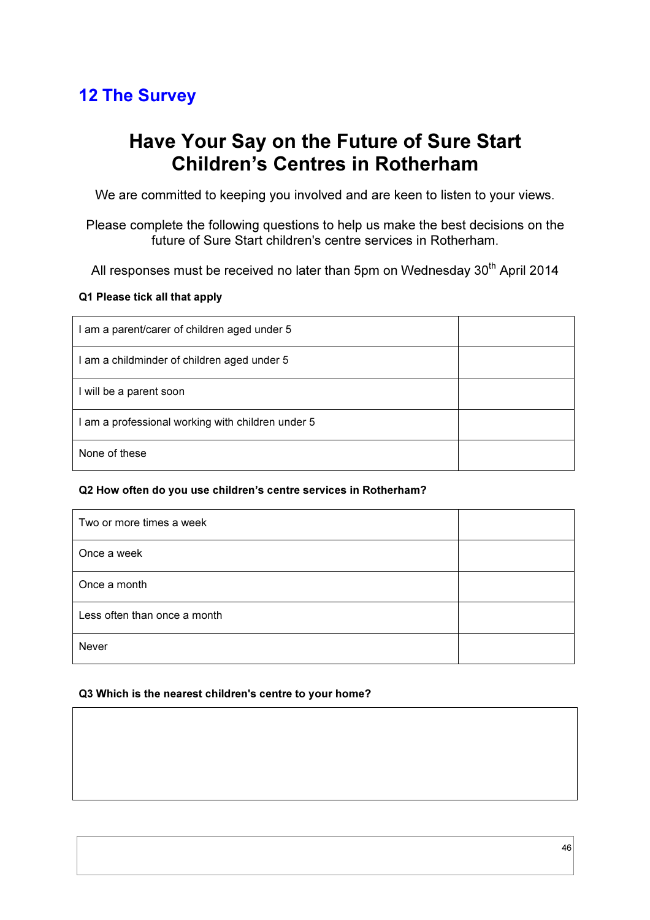## 12 The Survey

## Have Your Say on the Future of Sure Start Children's Centres in Rotherham

We are committed to keeping you involved and are keen to listen to your views.

Please complete the following questions to help us make the best decisions on the future of Sure Start children's centre services in Rotherham.

All responses must be received no later than 5pm on Wednesday  $30<sup>th</sup>$  April 2014

### Q1 Please tick all that apply

| I am a parent/carer of children aged under 5    |  |
|-------------------------------------------------|--|
| am a childminder of children aged under 5       |  |
| I will be a parent soon                         |  |
| am a professional working with children under 5 |  |
| None of these                                   |  |

### Q2 How often do you use children's centre services in Rotherham?

| Two or more times a week     |  |
|------------------------------|--|
| Once a week                  |  |
| Once a month                 |  |
| Less often than once a month |  |
| Never                        |  |

#### Q3 Which is the nearest children's centre to your home?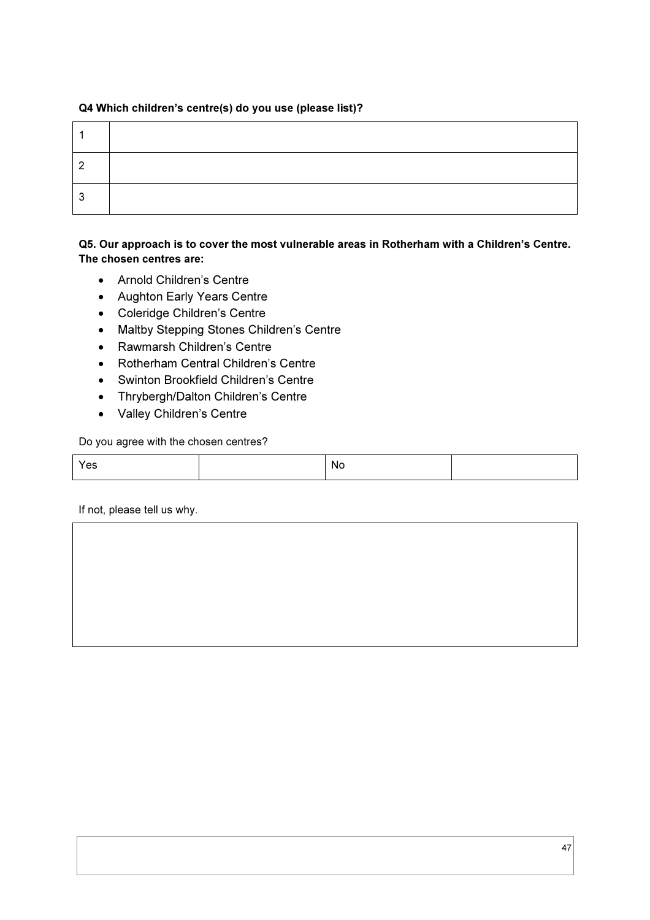### Q4 Which children's centre(s) do you use (please list)?

| n |  |
|---|--|
|   |  |

### Q5. Our approach is to cover the most vulnerable areas in Rotherham with a Children's Centre. The chosen centres are:

- Arnold Children's Centre
- Aughton Early Years Centre
- Coleridge Children's Centre
- Maltby Stepping Stones Children's Centre
- Rawmarsh Children's Centre
- Rotherham Central Children's Centre
- Swinton Brookfield Children's Centre
- Thrybergh/Dalton Children's Centre
- Valley Children's Centre

Do you agree with the chosen centres?

| Yes | <sub>N0</sub> |  |
|-----|---------------|--|
|     |               |  |

If not, please tell us why.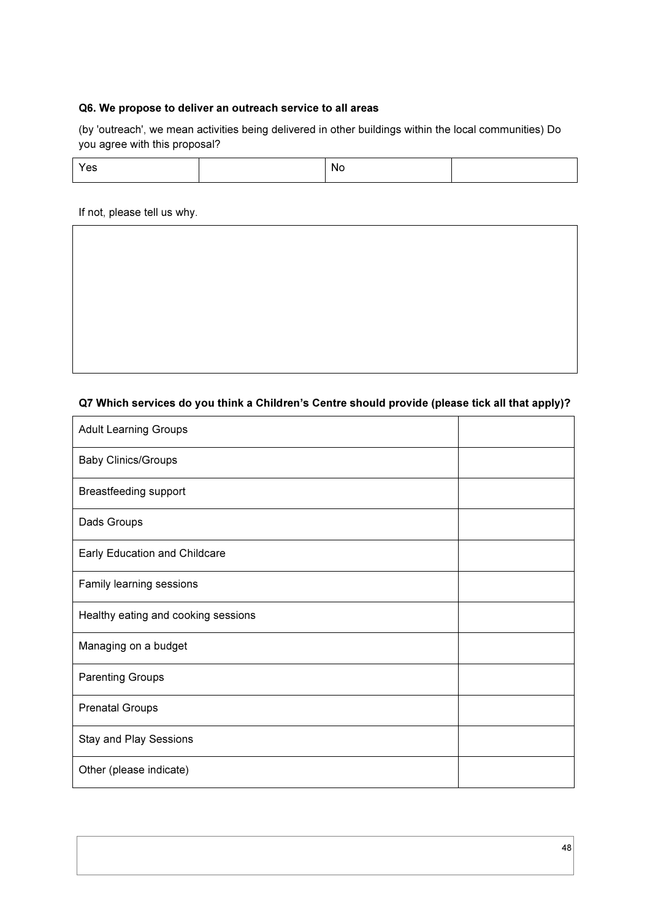#### Q6. We propose to deliver an outreach service to all areas

(by 'outreach', we mean activities being delivered in other buildings within the local communities) Do you agree with this proposal?

| 55 | -No<br>$\cdot$ $\cdot$ $\cdot$ |  |
|----|--------------------------------|--|
|----|--------------------------------|--|

If not, please tell us why.

### Q7 Which services do you think a Children's Centre should provide (please tick all that apply)?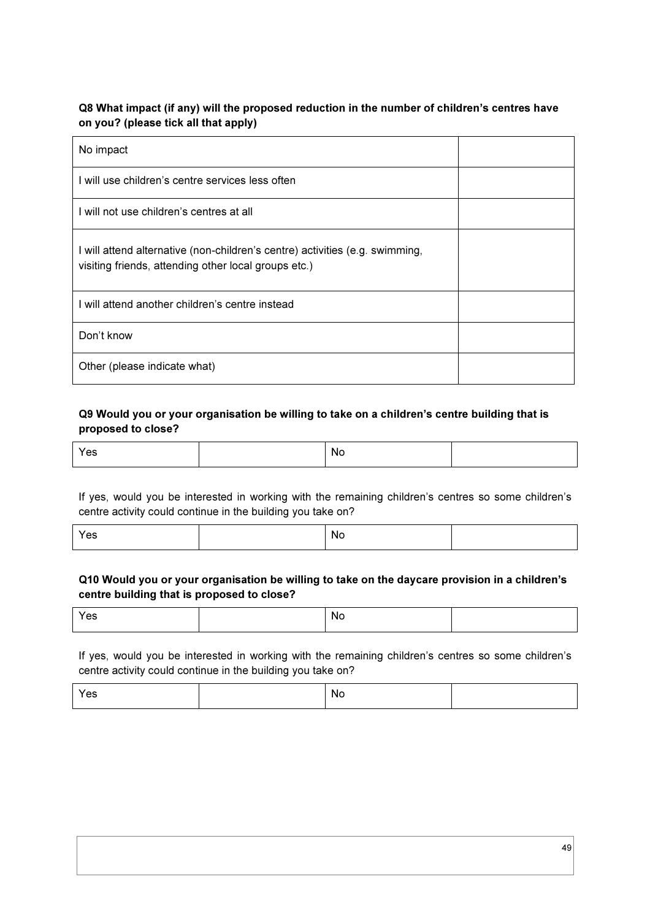### Q8 What impact (if any) will the proposed reduction in the number of children's centres have on you? (please tick all that apply)

| No impact                                                                                                                            |  |
|--------------------------------------------------------------------------------------------------------------------------------------|--|
| I will use children's centre services less often                                                                                     |  |
| I will not use children's centres at all                                                                                             |  |
| I will attend alternative (non-children's centre) activities (e.g. swimming,<br>visiting friends, attending other local groups etc.) |  |
| I will attend another children's centre instead                                                                                      |  |
| Don't know                                                                                                                           |  |
| Other (please indicate what)                                                                                                         |  |

### Q9 Would you or your organisation be willing to take on a children's centre building that is proposed to close?

| N.<br>__ |  |
|----------|--|
|----------|--|

If yes, would you be interested in working with the remaining children's centres so some children's centre activity could continue in the building you take on?

| Yes | No |  |
|-----|----|--|
|     |    |  |

### Q10 Would you or your organisation be willing to take on the daycare provision in a children's centre building that is proposed to close?

| $\lambda$<br>′es | <b>NG</b> |  |
|------------------|-----------|--|
|                  |           |  |

If yes, would you be interested in working with the remaining children's centres so some children's centre activity could continue in the building you take on?

| Yes<br><b>No</b> |
|------------------|
|------------------|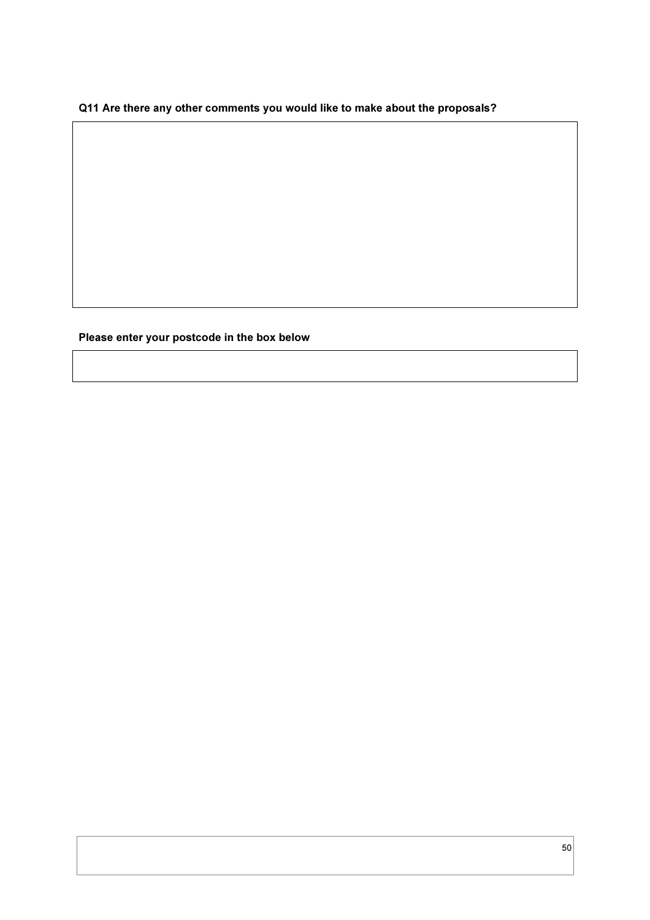### Q11 Are there any other comments you would like to make about the proposals?

Please enter your postcode in the box below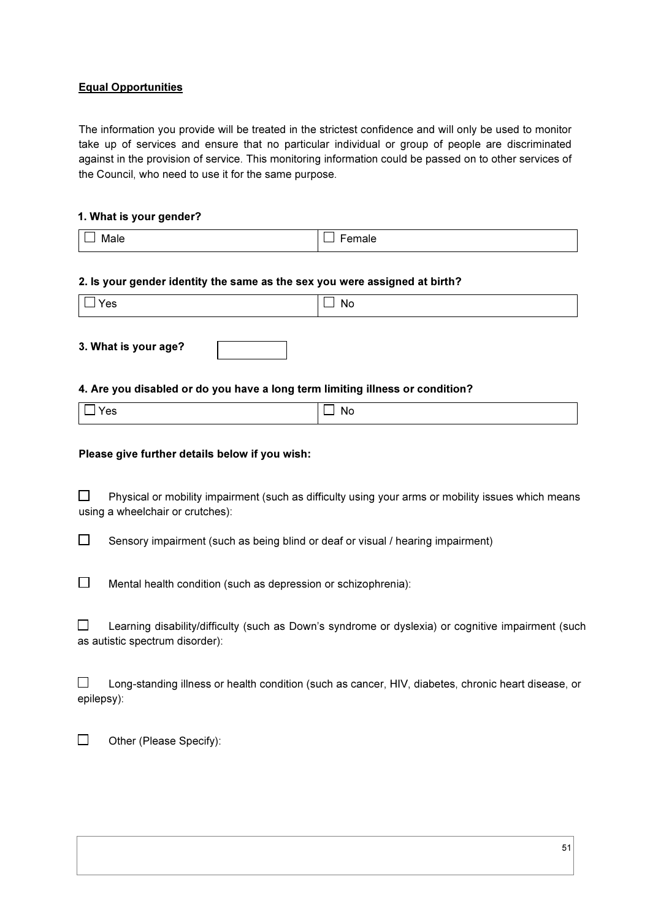### Equal Opportunities

The information you provide will be treated in the strictest confidence and will only be used to monitor take up of services and ensure that no particular individual or group of people are discriminated against in the provision of service. This monitoring information could be passed on to other services of the Council, who need to use it for the same purpose.

#### 1. What is your gender?

| Male<br>---- - | ____ |
|----------------|------|

#### 2. Is your gender identity the same as the sex you were assigned at birth?

| Yes | NG<br>. . |
|-----|-----------|

3. What is your age?

#### 4. Are you disabled or do you have a long term limiting illness or condition?

| Yes | $\Box$ No |
|-----|-----------|
|     |           |

#### Please give further details below if you wish:

 $\Box$  Physical or mobility impairment (such as difficulty using your arms or mobility issues which means using a wheelchair or crutches):

 $\square$  Sensory impairment (such as being blind or deaf or visual / hearing impairment)

 $\Box$ Mental health condition (such as depression or schizophrenia):

 $\square$  Learning disability/difficulty (such as Down's syndrome or dyslexia) or cognitive impairment (such as autistic spectrum disorder):

 $\square$  Long-standing illness or health condition (such as cancer, HIV, diabetes, chronic heart disease, or epilepsy):

 $\Box$  Other (Please Specify):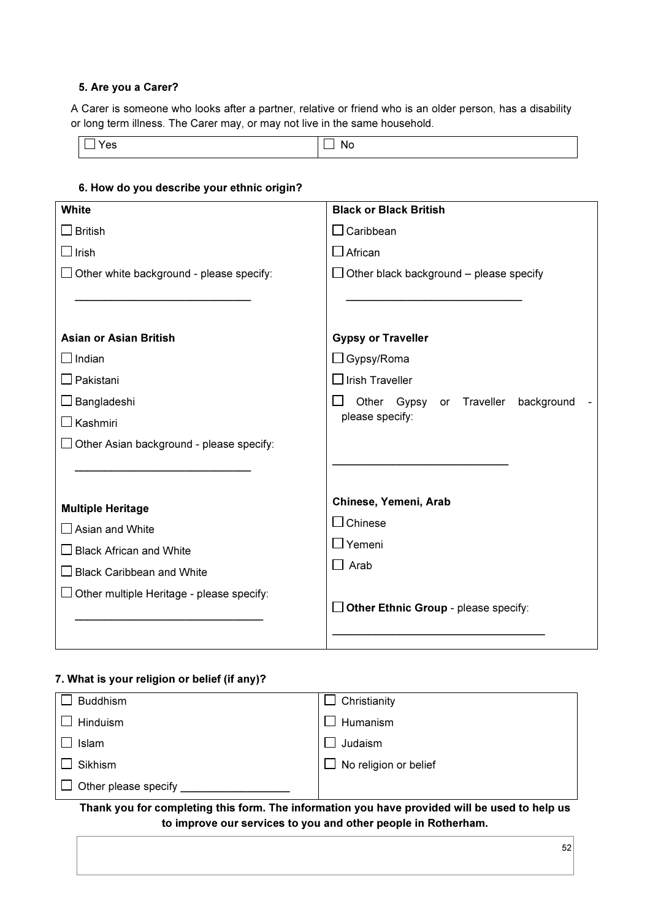#### 5. Are you a Carer?

A Carer is someone who looks after a partner, relative or friend who is an older person, has a disability or long term illness. The Carer may, or may not live in the same household.

| $\tilde{}$ | w<br>$\overline{\phantom{a}}$ |
|------------|-------------------------------|
|------------|-------------------------------|

| <b>White</b>                                    | <b>Black or Black British</b>                  |
|-------------------------------------------------|------------------------------------------------|
| $\Box$ British                                  | $\Box$ Caribbean                               |
| $\square$ Irish                                 | $\Box$ African                                 |
| Other white background - please specify:        | $\Box$ Other black background – please specify |
|                                                 |                                                |
|                                                 |                                                |
| <b>Asian or Asian British</b>                   | <b>Gypsy or Traveller</b>                      |
| $\Box$ Indian                                   | $\Box$ Gypsy/Roma                              |
| Pakistani                                       | $\Box$ Irish Traveller                         |
| Bangladeshi                                     | Other Gypsy or Traveller<br>background         |
| Kashmiri                                        | please specify:                                |
| $\Box$ Other Asian background - please specify: |                                                |
|                                                 |                                                |
|                                                 |                                                |
| <b>Multiple Heritage</b>                        | Chinese, Yemeni, Arab                          |
| $\Box$ Asian and White                          | $\Box$ Chinese                                 |
| <b>Black African and White</b>                  | $\Box$ Yemeni                                  |
| <b>Black Caribbean and White</b>                | $\Box$ Arab                                    |
| Other multiple Heritage - please specify:       |                                                |
|                                                 | $\Box$ Other Ethnic Group - please specify:    |
|                                                 |                                                |

### 6. How do you describe your ethnic origin?

### 7. What is your religion or belief (if any)?

| <b>Buddhism</b>                      | Christianity          |
|--------------------------------------|-----------------------|
| Hinduism                             | Humanism              |
| Islam                                | Judaism               |
| Sikhism                              | No religion or belief |
| Other please specify<br>$\mathbf{L}$ |                       |

### Thank you for completing this form. The information you have provided will be used to help us to improve our services to you and other people in Rotherham.